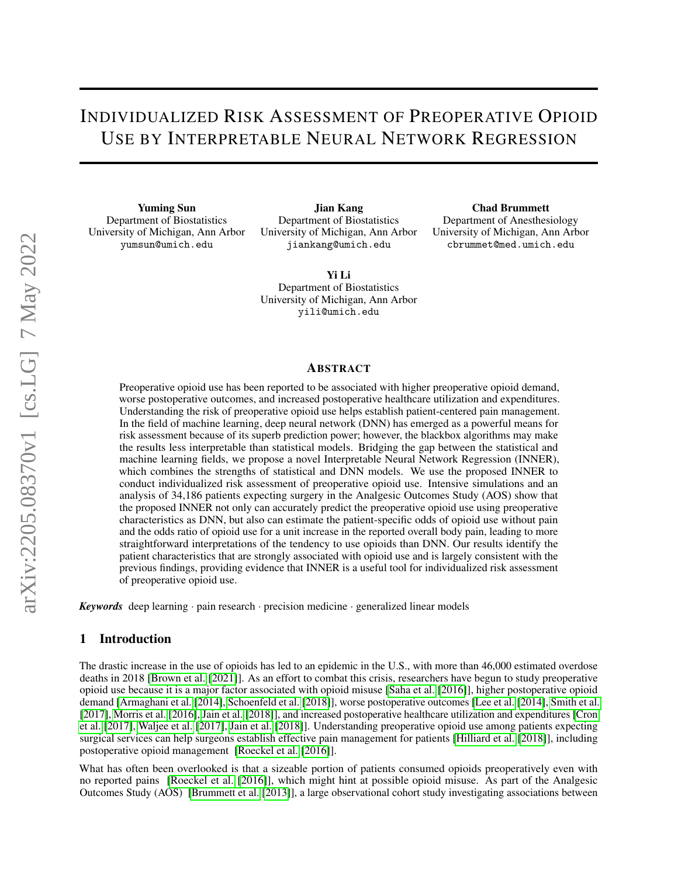# INDIVIDUALIZED RISK ASSESSMENT OF PREOPERATIVE OPIOID USE BY INTERPRETABLE NEURAL NETWORK REGRESSION

Yuming Sun Department of Biostatistics University of Michigan, Ann Arbor yumsun@umich.edu

Jian Kang Department of Biostatistics University of Michigan, Ann Arbor jiankang@umich.edu

Yi Li Department of Biostatistics University of Michigan, Ann Arbor yili@umich.edu

#### Chad Brummett

Department of Anesthesiology University of Michigan, Ann Arbor cbrummet@med.umich.edu

#### ABSTRACT

Preoperative opioid use has been reported to be associated with higher preoperative opioid demand, worse postoperative outcomes, and increased postoperative healthcare utilization and expenditures. Understanding the risk of preoperative opioid use helps establish patient-centered pain management. In the field of machine learning, deep neural network (DNN) has emerged as a powerful means for risk assessment because of its superb prediction power; however, the blackbox algorithms may make the results less interpretable than statistical models. Bridging the gap between the statistical and machine learning fields, we propose a novel Interpretable Neural Network Regression (INNER), which combines the strengths of statistical and DNN models. We use the proposed INNER to conduct individualized risk assessment of preoperative opioid use. Intensive simulations and an analysis of 34,186 patients expecting surgery in the Analgesic Outcomes Study (AOS) show that the proposed INNER not only can accurately predict the preoperative opioid use using preoperative characteristics as DNN, but also can estimate the patient-specific odds of opioid use without pain and the odds ratio of opioid use for a unit increase in the reported overall body pain, leading to more straightforward interpretations of the tendency to use opioids than DNN. Our results identify the patient characteristics that are strongly associated with opioid use and is largely consistent with the previous findings, providing evidence that INNER is a useful tool for individualized risk assessment of preoperative opioid use.

*Keywords* deep learning · pain research · precision medicine · generalized linear models

# 1 Introduction

The drastic increase in the use of opioids has led to an epidemic in the U.S., with more than 46,000 estimated overdose deaths in 2018 [\[Brown et al.](#page-19-0) [\[2021\]](#page-19-0)]. As an effort to combat this crisis, researchers have begun to study preoperative opioid use because it is a major factor associated with opioid misuse [\[Saha et al.](#page-19-1) [\[2016\]](#page-19-1)], higher postoperative opioid demand [\[Armaghani et al.](#page-19-2) [\[2014\]](#page-19-2), [Schoenfeld et al.](#page-19-3) [\[2018\]](#page-19-3)], worse postoperative outcomes [\[Lee et al.](#page-19-4) [\[2014\]](#page-19-4), [Smith et al.](#page-19-5) [\[2017\]](#page-19-5), [Morris et al.](#page-19-6) [\[2016\]](#page-19-6), [Jain et al.](#page-19-7) [\[2018\]](#page-19-7)], and increased postoperative healthcare utilization and expenditures [\[Cron](#page-19-8) [et al.](#page-19-8) [\[2017\]](#page-19-8), [Waljee et al.](#page-19-9) [\[2017\]](#page-19-9), [Jain et al.](#page-19-7) [\[2018\]](#page-19-7)]. Understanding preoperative opioid use among patients expecting surgical services can help surgeons establish effective pain management for patients [\[Hilliard et al.](#page-19-10) [\[2018\]](#page-19-10)], including postoperative opioid management [\[Roeckel et al.](#page-20-0) [\[2016\]](#page-20-0)].

What has often been overlooked is that a sizeable portion of patients consumed opioids preoperatively even with no reported pains [\[Roeckel et al.](#page-20-0) [\[2016\]](#page-20-0)], which might hint at possible opioid misuse. As part of the Analgesic Outcomes Study (AOS) [\[Brummett et al.](#page-20-1) [\[2013\]](#page-20-1)], a large observational cohort study investigating associations between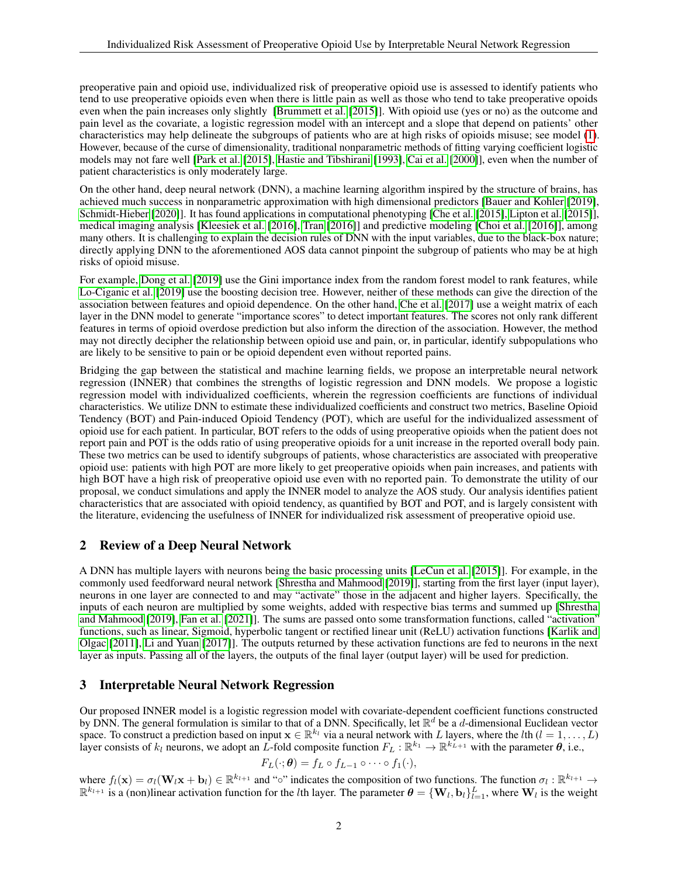preoperative pain and opioid use, individualized risk of preoperative opioid use is assessed to identify patients who tend to use preoperative opioids even when there is little pain as well as those who tend to take preoperative opoids even when the pain increases only slightly [\[Brummett et al.](#page-20-2) [\[2015\]](#page-20-2)]. With opioid use (yes or no) as the outcome and pain level as the covariate, a logistic regression model with an intercept and a slope that depend on patients' other characteristics may help delineate the subgroups of patients who are at high risks of opioids misuse; see model [\(1\)](#page-2-0). However, because of the curse of dimensionality, traditional nonparametric methods of fitting varying coefficient logistic models may not fare well [\[Park et al.](#page-20-3) [\[2015\]](#page-20-3), [Hastie and Tibshirani](#page-20-4) [\[1993\]](#page-20-4), [Cai et al.](#page-20-5) [\[2000\]](#page-20-5)], even when the number of patient characteristics is only moderately large.

On the other hand, deep neural network (DNN), a machine learning algorithm inspired by the structure of brains, has achieved much success in nonparametric approximation with high dimensional predictors [\[Bauer and Kohler](#page-20-6) [\[2019\]](#page-20-6), [Schmidt-Hieber](#page-20-7) [\[2020\]](#page-20-7)]. It has found applications in computational phenotyping [\[Che et al.](#page-20-8) [\[2015\]](#page-20-8), [Lipton et al.](#page-20-9) [\[2015\]](#page-20-9)], medical imaging analysis [\[Kleesiek et al.](#page-20-10) [\[2016\]](#page-20-10), [Tran](#page-20-11) [\[2016\]](#page-20-11)] and predictive modeling [\[Choi et al.](#page-20-12) [\[2016\]](#page-20-12)], among many others. It is challenging to explain the decision rules of DNN with the input variables, due to the black-box nature; directly applying DNN to the aforementioned AOS data cannot pinpoint the subgroup of patients who may be at high risks of opioid misuse.

For example, [Dong et al.](#page-20-13) [\[2019\]](#page-20-13) use the Gini importance index from the random forest model to rank features, while [Lo-Ciganic et al.](#page-20-14) [\[2019\]](#page-20-14) use the boosting decision tree. However, neither of these methods can give the direction of the association between features and opioid dependence. On the other hand, [Che et al.](#page-20-15) [\[2017\]](#page-20-15) use a weight matrix of each layer in the DNN model to generate "importance scores" to detect important features. The scores not only rank different features in terms of opioid overdose prediction but also inform the direction of the association. However, the method may not directly decipher the relationship between opioid use and pain, or, in particular, identify subpopulations who are likely to be sensitive to pain or be opioid dependent even without reported pains.

Bridging the gap between the statistical and machine learning fields, we propose an interpretable neural network regression (INNER) that combines the strengths of logistic regression and DNN models. We propose a logistic regression model with individualized coefficients, wherein the regression coefficients are functions of individual characteristics. We utilize DNN to estimate these individualized coefficients and construct two metrics, Baseline Opioid Tendency (BOT) and Pain-induced Opioid Tendency (POT), which are useful for the individualized assessment of opioid use for each patient. In particular, BOT refers to the odds of using preoperative opioids when the patient does not report pain and POT is the odds ratio of using preoperative opioids for a unit increase in the reported overall body pain. These two metrics can be used to identify subgroups of patients, whose characteristics are associated with preoperative opioid use: patients with high POT are more likely to get preoperative opioids when pain increases, and patients with high BOT have a high risk of preoperative opioid use even with no reported pain. To demonstrate the utility of our proposal, we conduct simulations and apply the INNER model to analyze the AOS study. Our analysis identifies patient characteristics that are associated with opioid tendency, as quantified by BOT and POT, and is largely consistent with the literature, evidencing the usefulness of INNER for individualized risk assessment of preoperative opioid use.

## 2 Review of a Deep Neural Network

A DNN has multiple layers with neurons being the basic processing units [\[LeCun et al.](#page-20-16) [\[2015\]](#page-20-16)]. For example, in the commonly used feedforward neural network [\[Shrestha and Mahmood](#page-20-17) [\[2019\]](#page-20-17)], starting from the first layer (input layer), neurons in one layer are connected to and may "activate" those in the adjacent and higher layers. Specifically, the inputs of each neuron are multiplied by some weights, added with respective bias terms and summed up [\[Shrestha](#page-20-17) [and Mahmood](#page-20-17) [\[2019\]](#page-20-17), [Fan et al.](#page-20-18) [\[2021\]](#page-20-18)]. The sums are passed onto some transformation functions, called "activation" functions, such as linear, Sigmoid, hyperbolic tangent or rectified linear unit (ReLU) activation functions [\[Karlik and](#page-20-19) [Olgac](#page-20-19) [\[2011\]](#page-20-19), [Li and Yuan](#page-20-20) [\[2017\]](#page-20-20)]. The outputs returned by these activation functions are fed to neurons in the next layer as inputs. Passing all of the layers, the outputs of the final layer (output layer) will be used for prediction.

## 3 Interpretable Neural Network Regression

Our proposed INNER model is a logistic regression model with covariate-dependent coefficient functions constructed by DNN. The general formulation is similar to that of a DNN. Specifically, let  $\mathbb{R}^d$  be a *d*-dimensional Euclidean vector space. To construct a prediction based on input  $\mathbf{x} \in \mathbb{R}^{k_l}$  via a neural network with L layers, where the lth  $(l = 1, \ldots, L)$ layer consists of  $k_l$  neurons, we adopt an L-fold composite function  $F_L : \mathbb{R}^{k_1} \to \mathbb{R}^{k_{L+1}}$  with the parameter  $\theta$ , i.e.,

$$
F_L(\cdot; \boldsymbol{\theta}) = f_L \circ f_{L-1} \circ \cdots \circ f_1(\cdot),
$$

where  $f_l(\mathbf{x}) = \sigma_l(\mathbf{W}_l \mathbf{x} + \mathbf{b}_l) \in \mathbb{R}^{k_{l+1}}$  and "∘" indicates the composition of two functions. The function  $\sigma_l : \mathbb{R}^{k_{l+1}} \to$  $\mathbb{R}^{k_{l+1}}$  is a (non)linear activation function for the *l*th layer. The parameter  $\theta = \{W_l, b_l\}_{l=1}^L$ , where  $W_l$  is the weight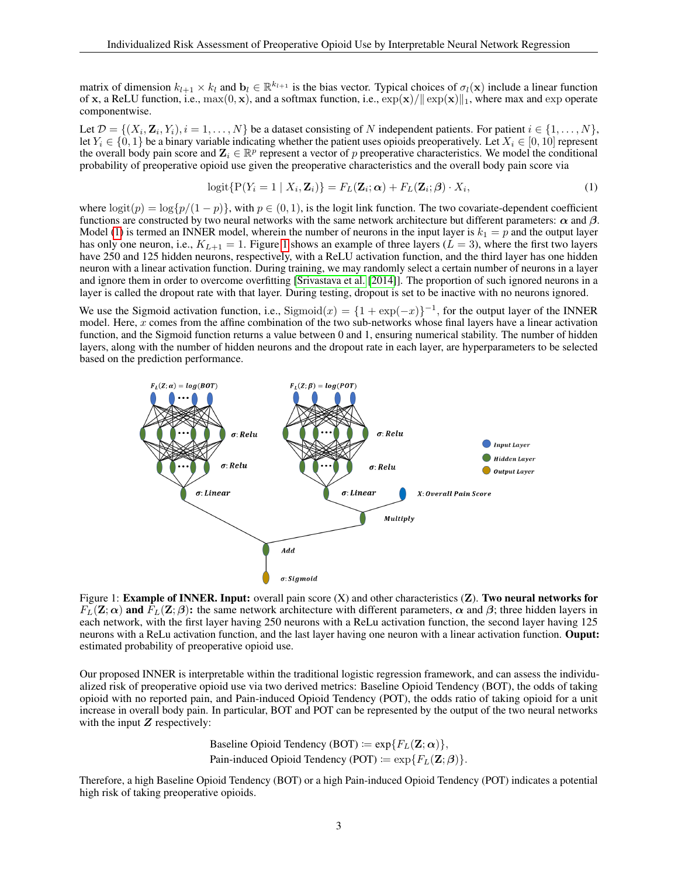matrix of dimension  $k_{l+1} \times k_l$  and  $\mathbf{b}_l \in \mathbb{R}^{k_{l+1}}$  is the bias vector. Typical choices of  $\sigma_l(\mathbf{x})$  include a linear function of x, a ReLU function, i.e.,  $max(0, x)$ , and a softmax function, i.e.,  $exp(x)/\|exp(x)\|_1$ , where max and exp operate componentwise.

Let  $\mathcal{D} = \{(X_i, \mathbf{Z}_i, Y_i), i = 1, \dots, N\}$  be a dataset consisting of N independent patients. For patient  $i \in \{1, \dots, N\}$ , let  $Y_i \in \{0, 1\}$  be a binary variable indicating whether the patient uses opioids preoperatively. Let  $X_i \in [0, 10]$  represent the overall body pain score and  $\mathbf{Z}_i \in \mathbb{R}^p$  represent a vector of p preoperative characteristics. We model the conditional probability of preoperative opioid use given the preoperative characteristics and the overall body pain score via

<span id="page-2-0"></span>
$$
logit{P(Yi = 1 | Xi, \mathbf{Z}i)} = FL(\mathbf{Z}i; \alpha) + FL(\mathbf{Z}i; \beta) \cdot Xi,
$$
\n(1)

where  $\log(t(p) = \log\{p/(1-p)\}\)$ , with  $p \in (0, 1)$ , is the logit link function. The two covariate-dependent coefficient functions are constructed by two neural networks with the same network architecture but different parameters:  $\alpha$  and  $\beta$ . Model [\(1\)](#page-2-0) is termed an INNER model, wherein the number of neurons in the input layer is  $k_1 = p$  and the output layer has only one neuron, i.e.,  $K_{L+1} = 1$  $K_{L+1} = 1$ . Figure 1 shows an example of three layers ( $L = 3$ ), where the first two layers have 250 and 125 hidden neurons, respectively, with a ReLU activation function, and the third layer has one hidden neuron with a linear activation function. During training, we may randomly select a certain number of neurons in a layer and ignore them in order to overcome overfitting [\[Srivastava et al.](#page-21-0) [\[2014\]](#page-21-0)]. The proportion of such ignored neurons in a layer is called the dropout rate with that layer. During testing, dropout is set to be inactive with no neurons ignored.

We use the Sigmoid activation function, i.e., Sigmoid $(x) = \{1 + \exp(-x)\}^{-1}$ , for the output layer of the INNER model. Here,  $x$  comes from the affine combination of the two sub-networks whose final layers have a linear activation function, and the Sigmoid function returns a value between 0 and 1, ensuring numerical stability. The number of hidden layers, along with the number of hidden neurons and the dropout rate in each layer, are hyperparameters to be selected based on the prediction performance.

<span id="page-2-1"></span>

Figure 1: **Example of INNER. Input:** overall pain score  $(X)$  and other characteristics  $(Z)$ . **Two neural networks for**  $F_L(\mathbf{Z}; \alpha)$  and  $F_L(\mathbf{Z}; \beta)$ : the same network architecture with different parameters,  $\alpha$  and  $\beta$ ; three hidden layers in each network, with the first layer having 250 neurons with a ReLu activation function, the second layer having 125 neurons with a ReLu activation function, and the last layer having one neuron with a linear activation function. Ouput: estimated probability of preoperative opioid use.

Our proposed INNER is interpretable within the traditional logistic regression framework, and can assess the individualized risk of preoperative opioid use via two derived metrics: Baseline Opioid Tendency (BOT), the odds of taking opioid with no reported pain, and Pain-induced Opioid Tendency (POT), the odds ratio of taking opioid for a unit increase in overall body pain. In particular, BOT and POT can be represented by the output of the two neural networks with the input  $Z$  respectively:

> Baseline Opioid Tendency (BOT) :=  $\exp\{F_L(\mathbf{Z}; \alpha)\},\$ Pain-induced Opioid Tendency (POT) :=  $\exp\{F_L(\mathbf{Z}; \boldsymbol{\beta})\}$ .

Therefore, a high Baseline Opioid Tendency (BOT) or a high Pain-induced Opioid Tendency (POT) indicates a potential high risk of taking preoperative opioids.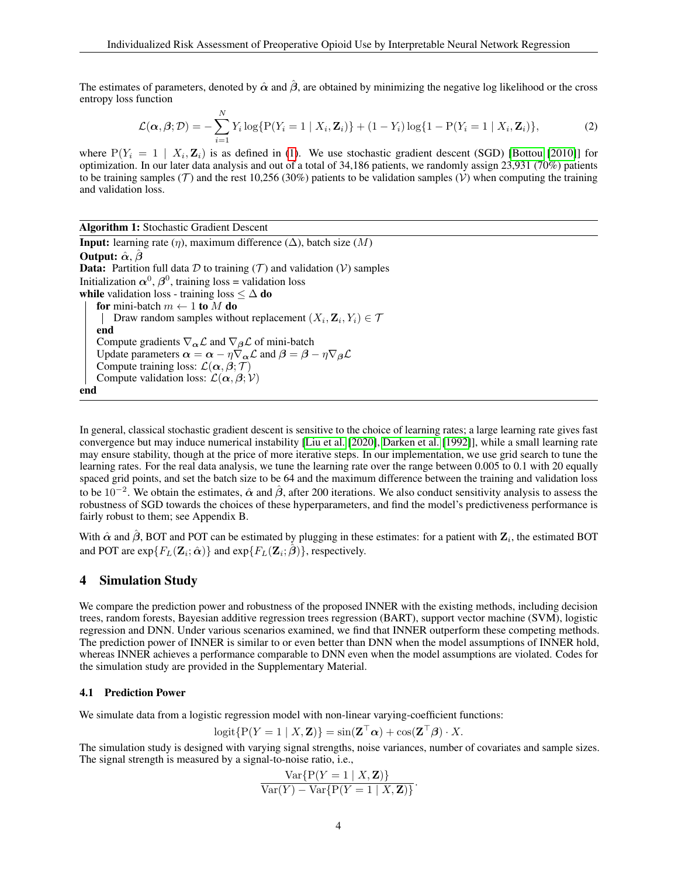The estimates of parameters, denoted by  $\hat{\alpha}$  and  $\hat{\beta}$ , are obtained by minimizing the negative log likelihood or the cross entropy loss function

$$
\mathcal{L}(\alpha, \beta; \mathcal{D}) = -\sum_{i=1}^{N} Y_i \log \{ P(Y_i = 1 \mid X_i, \mathbf{Z}_i) \} + (1 - Y_i) \log \{ 1 - P(Y_i = 1 \mid X_i, \mathbf{Z}_i) \},\tag{2}
$$

where  $P(Y_i = 1 | X_i, \mathbf{Z}_i)$  is as defined in [\(1\)](#page-2-0). We use stochastic gradient descent (SGD) [\[Bottou](#page-21-1) [\[2010\]](#page-21-1)] for optimization. In our later data analysis and out of a total of 34,186 patients, we randomly assign 23,931 (70%) patients to be training samples (T) and the rest 10,256 (30%) patients to be validation samples (V) when computing the training and validation loss.

Algorithm 1: Stochastic Gradient Descent **Input:** learning rate  $(\eta)$ , maximum difference  $(\Delta)$ , batch size  $(M)$ Output:  $\hat{\alpha}$ ,  $\hat{\beta}$ **Data:** Partition full data  $D$  to training  $(T)$  and validation  $(V)$  samples Initialization  $\alpha^0$ ,  $\beta^0$ , training loss = validation loss while validation loss - training loss  $\leq \Delta$  do for mini-batch  $m \leftarrow 1$  to M do Draw random samples without replacement  $(X_i, \mathbf{Z}_i, Y_i) \in \mathcal{T}$ end Compute gradients  $\nabla_{\alpha} \mathcal{L}$  and  $\nabla_{\beta} \mathcal{L}$  of mini-batch Update parameters  $\alpha = \alpha - \eta \nabla_{\alpha} \mathcal{L}$  and  $\beta = \beta - \eta \nabla_{\beta} \mathcal{L}$ Compute training loss:  $\mathcal{L}(\alpha, \beta; \mathcal{T})$ Compute validation loss:  $\mathcal{L}(\alpha, \beta; \mathcal{V})$ end

In general, classical stochastic gradient descent is sensitive to the choice of learning rates; a large learning rate gives fast convergence but may induce numerical instability [\[Liu et al.](#page-21-2) [\[2020\]](#page-21-2), [Darken et al.](#page-21-3) [\[1992\]](#page-21-3)], while a small learning rate may ensure stability, though at the price of more iterative steps. In our implementation, we use grid search to tune the learning rates. For the real data analysis, we tune the learning rate over the range between 0.005 to 0.1 with 20 equally spaced grid points, and set the batch size to be 64 and the maximum difference between the training and validation loss to be  $10^{-2}$ . We obtain the estimates,  $\hat{\alpha}$  and  $\hat{\beta}$ , after 200 iterations. We also conduct sensitivity analysis to assess the robustness of SGD towards the choices of these hyperparameters, and find the model's predictiveness performance is fairly robust to them; see Appendix B.

With  $\hat{\alpha}$  and  $\hat{\beta}$ , BOT and POT can be estimated by plugging in these estimates: for a patient with  $\mathbf{Z}_i$ , the estimated BOT and POT are  $\exp\{F_L(\mathbf{Z}_i; \hat{\boldsymbol{\alpha}})\}\$  and  $\exp\{F_L(\mathbf{Z}_i; \hat{\boldsymbol{\beta}})\}\)$ , respectively.

#### 4 Simulation Study

We compare the prediction power and robustness of the proposed INNER with the existing methods, including decision trees, random forests, Bayesian additive regression trees regression (BART), support vector machine (SVM), logistic regression and DNN. Under various scenarios examined, we find that INNER outperform these competing methods. The prediction power of INNER is similar to or even better than DNN when the model assumptions of INNER hold, whereas INNER achieves a performance comparable to DNN even when the model assumptions are violated. Codes for the simulation study are provided in the Supplementary Material.

#### 4.1 Prediction Power

We simulate data from a logistic regression model with non-linear varying-coefficient functions:

$$
logit\{P(Y=1 | X, \mathbf{Z})\} = sin(\mathbf{Z}^\top \boldsymbol{\alpha}) + cos(\mathbf{Z}^\top \boldsymbol{\beta}) \cdot X.
$$

The simulation study is designed with varying signal strengths, noise variances, number of covariates and sample sizes. The signal strength is measured by a signal-to-noise ratio, i.e.,

$$
\frac{\text{Var}\{P(Y=1 | X, \mathbf{Z})\}}{\text{Var}(Y) - \text{Var}\{P(Y=1 | X, \mathbf{Z})\}}.
$$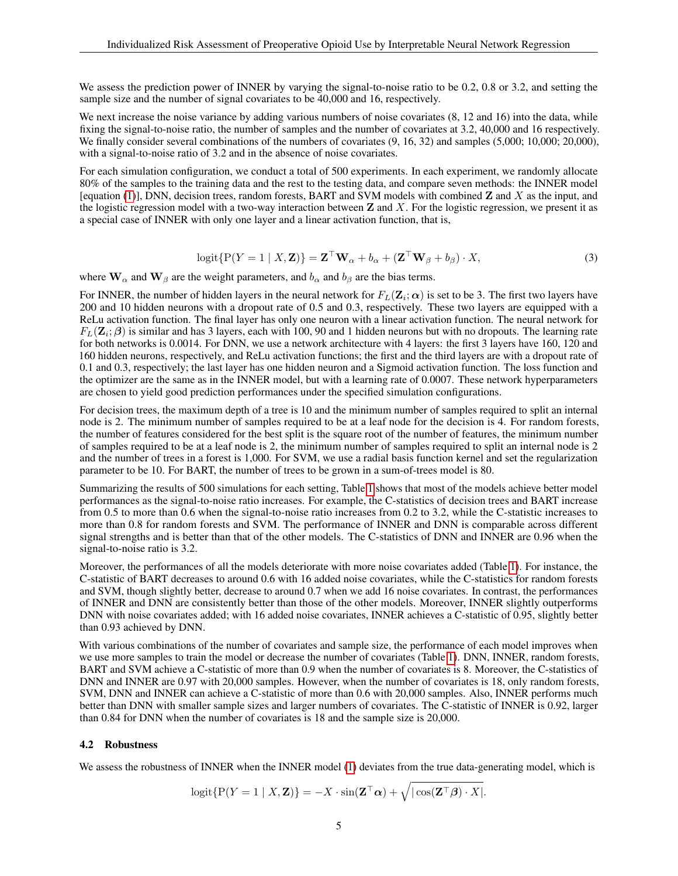We assess the prediction power of INNER by varying the signal-to-noise ratio to be 0.2, 0.8 or 3.2, and setting the sample size and the number of signal covariates to be 40,000 and 16, respectively.

We next increase the noise variance by adding various numbers of noise covariates  $(8, 12, 12)$  and  $(16)$  into the data, while fixing the signal-to-noise ratio, the number of samples and the number of covariates at 3.2, 40,000 and 16 respectively. We finally consider several combinations of the numbers of covariates  $(9, 16, 32)$  and samples  $(5,000; 10,000; 20,000)$ , with a signal-to-noise ratio of 3.2 and in the absence of noise covariates.

For each simulation configuration, we conduct a total of 500 experiments. In each experiment, we randomly allocate 80% of the samples to the training data and the rest to the testing data, and compare seven methods: the INNER model [equation [\(1\)](#page-2-0)], DNN, decision trees, random forests, BART and SVM models with combined  $\bf{Z}$  and  $\bf{X}$  as the input, and the logistic regression model with a two-way interaction between  $\bf{Z}$  and  $\bf{X}$ . For the logistic regression, we present it as a special case of INNER with only one layer and a linear activation function, that is,

$$
logit\{P(Y=1 \mid X, \mathbf{Z})\} = \mathbf{Z}^{\top} \mathbf{W}_{\alpha} + b_{\alpha} + (\mathbf{Z}^{\top} \mathbf{W}_{\beta} + b_{\beta}) \cdot X,
$$
\n(3)

where  $W_{\alpha}$  and  $W_{\beta}$  are the weight parameters, and  $b_{\alpha}$  and  $b_{\beta}$  are the bias terms.

For INNER, the number of hidden layers in the neural network for  $F_L(Z_i; \alpha)$  is set to be 3. The first two layers have 200 and 10 hidden neurons with a dropout rate of 0.5 and 0.3, respectively. These two layers are equipped with a ReLu activation function. The final layer has only one neuron with a linear activation function. The neural network for  $F_L(\mathbf{Z}_i;\boldsymbol{\beta})$  is similar and has 3 layers, each with 100, 90 and 1 hidden neurons but with no dropouts. The learning rate for both networks is 0.0014. For DNN, we use a network architecture with 4 layers: the first 3 layers have 160, 120 and 160 hidden neurons, respectively, and ReLu activation functions; the first and the third layers are with a dropout rate of 0.1 and 0.3, respectively; the last layer has one hidden neuron and a Sigmoid activation function. The loss function and the optimizer are the same as in the INNER model, but with a learning rate of 0.0007. These network hyperparameters are chosen to yield good prediction performances under the specified simulation configurations.

For decision trees, the maximum depth of a tree is 10 and the minimum number of samples required to split an internal node is 2. The minimum number of samples required to be at a leaf node for the decision is 4. For random forests, the number of features considered for the best split is the square root of the number of features, the minimum number of samples required to be at a leaf node is 2, the minimum number of samples required to split an internal node is 2 and the number of trees in a forest is 1,000. For SVM, we use a radial basis function kernel and set the regularization parameter to be 10. For BART, the number of trees to be grown in a sum-of-trees model is 80.

Summarizing the results of 500 simulations for each setting, Table [1](#page-5-0) shows that most of the models achieve better model performances as the signal-to-noise ratio increases. For example, the C-statistics of decision trees and BART increase from 0.5 to more than 0.6 when the signal-to-noise ratio increases from 0.2 to 3.2, while the C-statistic increases to more than 0.8 for random forests and SVM. The performance of INNER and DNN is comparable across different signal strengths and is better than that of the other models. The C-statistics of DNN and INNER are 0.96 when the signal-to-noise ratio is 3.2.

Moreover, the performances of all the models deteriorate with more noise covariates added (Table [1\)](#page-5-0). For instance, the C-statistic of BART decreases to around 0.6 with 16 added noise covariates, while the C-statistics for random forests and SVM, though slightly better, decrease to around 0.7 when we add 16 noise covariates. In contrast, the performances of INNER and DNN are consistently better than those of the other models. Moreover, INNER slightly outperforms DNN with noise covariates added; with 16 added noise covariates, INNER achieves a C-statistic of 0.95, slightly better than 0.93 achieved by DNN.

With various combinations of the number of covariates and sample size, the performance of each model improves when we use more samples to train the model or decrease the number of covariates (Table [1\)](#page-5-0). DNN, INNER, random forests, BART and SVM achieve a C-statistic of more than 0.9 when the number of covariates is 8. Moreover, the C-statistics of DNN and INNER are 0.97 with 20,000 samples. However, when the number of covariates is 18, only random forests, SVM, DNN and INNER can achieve a C-statistic of more than 0.6 with 20,000 samples. Also, INNER performs much better than DNN with smaller sample sizes and larger numbers of covariates. The C-statistic of INNER is 0.92, larger than 0.84 for DNN when the number of covariates is 18 and the sample size is 20,000.

#### 4.2 Robustness

We assess the robustness of INNER when the INNER model [\(1\)](#page-2-0) deviates from the true data-generating model, which is

$$
logit\{P(Y=1 | X, \mathbf{Z})\} = -X \cdot sin(\mathbf{Z}^\top \boldsymbol{\alpha}) + \sqrt{|\cos(\mathbf{Z}^\top \boldsymbol{\beta}) \cdot X|}.
$$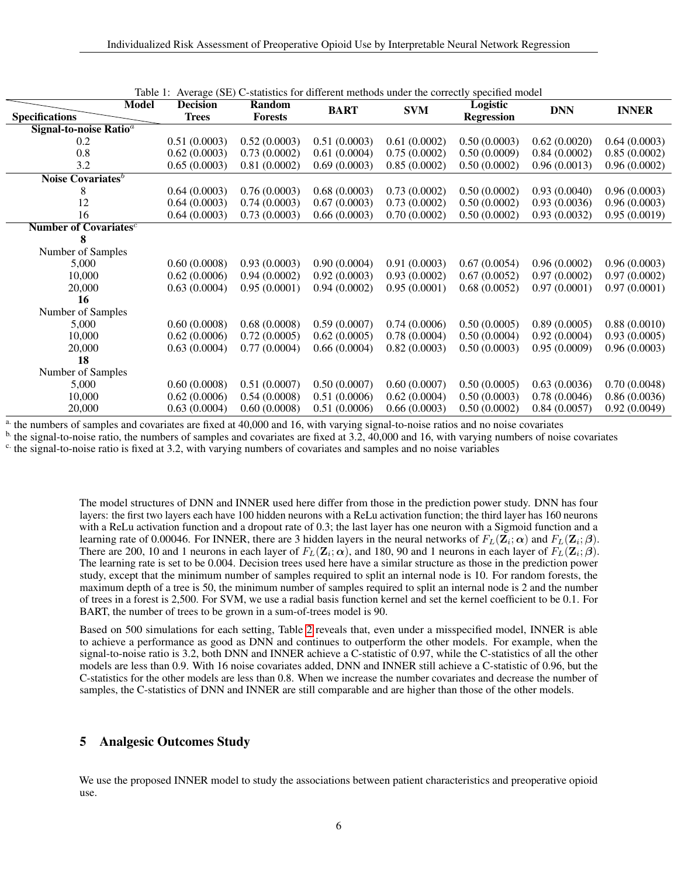| Model                             | raviv 1.<br><b>Decision</b> | Random         |              | Average (52) e-statistics for unferent inclineds under the correctly specified moder |                               |              |              |
|-----------------------------------|-----------------------------|----------------|--------------|--------------------------------------------------------------------------------------|-------------------------------|--------------|--------------|
| <b>Specifications</b>             | <b>Trees</b>                | <b>Forests</b> | <b>BART</b>  | <b>SVM</b>                                                                           | Logistic<br><b>Regression</b> | <b>DNN</b>   | <b>INNER</b> |
| Signal-to-noise Ratio $a$         |                             |                |              |                                                                                      |                               |              |              |
|                                   |                             |                |              |                                                                                      |                               |              |              |
| 0.2                               | 0.51(0.0003)                | 0.52(0.0003)   | 0.51(0.0003) | 0.61(0.0002)                                                                         | 0.50(0.0003)                  | 0.62(0.0020) | 0.64(0.0003) |
| 0.8                               | 0.62(0.0003)                | 0.73(0.0002)   | 0.61(0.0004) | 0.75(0.0002)                                                                         | 0.50(0.0009)                  | 0.84(0.0002) | 0.85(0.0002) |
| 3.2                               | 0.65(0.0003)                | 0.81(0.0002)   | 0.69(0.0003) | 0.85(0.0002)                                                                         | 0.50(0.0002)                  | 0.96(0.0013) | 0.96(0.0002) |
| Noise Covariates <sup>b</sup>     |                             |                |              |                                                                                      |                               |              |              |
| 8                                 | 0.64(0.0003)                | 0.76(0.0003)   | 0.68(0.0003) | 0.73(0.0002)                                                                         | 0.50(0.0002)                  | 0.93(0.0040) | 0.96(0.0003) |
| 12                                | 0.64(0.0003)                | 0.74(0.0003)   | 0.67(0.0003) | 0.73(0.0002)                                                                         | 0.50(0.0002)                  | 0.93(0.0036) | 0.96(0.0003) |
| 16                                | 0.64(0.0003)                | 0.73(0.0003)   | 0.66(0.0003) | 0.70(0.0002)                                                                         | 0.50(0.0002)                  | 0.93(0.0032) | 0.95(0.0019) |
| Number of Covariates <sup>c</sup> |                             |                |              |                                                                                      |                               |              |              |
| 8                                 |                             |                |              |                                                                                      |                               |              |              |
| Number of Samples                 |                             |                |              |                                                                                      |                               |              |              |
| 5,000                             | 0.60(0.0008)                | 0.93(0.0003)   | 0.90(0.0004) | 0.91(0.0003)                                                                         | 0.67(0.0054)                  | 0.96(0.0002) | 0.96(0.0003) |
| 10,000                            | 0.62(0.0006)                | 0.94(0.0002)   | 0.92(0.0003) | 0.93(0.0002)                                                                         | 0.67(0.0052)                  | 0.97(0.0002) | 0.97(0.0002) |
| 20,000                            | 0.63(0.0004)                | 0.95(0.0001)   | 0.94(0.0002) | 0.95(0.0001)                                                                         | 0.68(0.0052)                  | 0.97(0.0001) | 0.97(0.0001) |
| 16                                |                             |                |              |                                                                                      |                               |              |              |
| Number of Samples                 |                             |                |              |                                                                                      |                               |              |              |
| 5,000                             | 0.60(0.0008)                | 0.68(0.0008)   | 0.59(0.0007) | 0.74(0.0006)                                                                         | 0.50(0.0005)                  | 0.89(0.0005) | 0.88(0.0010) |
| 10,000                            | 0.62(0.0006)                | 0.72(0.0005)   | 0.62(0.0005) | 0.78(0.0004)                                                                         | 0.50(0.0004)                  | 0.92(0.0004) | 0.93(0.0005) |
| 20,000                            | 0.63(0.0004)                | 0.77(0.0004)   | 0.66(0.0004) | 0.82(0.0003)                                                                         | 0.50(0.0003)                  | 0.95(0.0009) | 0.96(0.0003) |
| 18                                |                             |                |              |                                                                                      |                               |              |              |
| Number of Samples                 |                             |                |              |                                                                                      |                               |              |              |
| 5,000                             | 0.60(0.0008)                | 0.51(0.0007)   | 0.50(0.0007) | 0.60(0.0007)                                                                         | 0.50(0.0005)                  | 0.63(0.0036) | 0.70(0.0048) |
| 10,000                            | 0.62(0.0006)                | 0.54(0.0008)   | 0.51(0.0006) | 0.62(0.0004)                                                                         | 0.50(0.0003)                  | 0.78(0.0046) | 0.86(0.0036) |
| 20,000                            | 0.63(0.0004)                | 0.60(0.0008)   | 0.51(0.0006) | 0.66(0.0003)                                                                         | 0.50(0.0002)                  | 0.84(0.0057) | 0.92(0.0049) |

<span id="page-5-0"></span>

|  |  | Table 1: Average (SE) C-statistics for different methods under the correctly specified model |  |
|--|--|----------------------------------------------------------------------------------------------|--|
|  |  |                                                                                              |  |

<sup>a.</sup> the numbers of samples and covariates are fixed at 40,000 and 16, with varying signal-to-noise ratios and no noise covariates

 $<sup>b</sup>$  the signal-to-noise ratio, the numbers of samples and covariates are fixed at 3.2, 40,000 and 16, with varying numbers of noise covariates</sup>

 $\epsilon$ . the signal-to-noise ratio is fixed at 3.2, with varying numbers of covariates and samples and no noise variables

The model structures of DNN and INNER used here differ from those in the prediction power study. DNN has four layers: the first two layers each have 100 hidden neurons with a ReLu activation function; the third layer has 160 neurons with a ReLu activation function and a dropout rate of 0.3; the last layer has one neuron with a Sigmoid function and a learning rate of 0.00046. For INNER, there are 3 hidden layers in the neural networks of  $F_L(\mathbf{Z}_i;\boldsymbol{\alpha})$  and  $F_L(\mathbf{Z}_i;\boldsymbol{\beta})$ . There are 200, 10 and 1 neurons in each layer of  $F_L(\mathbf{Z}_i;\boldsymbol{\alpha})$ , and 180, 90 and 1 neurons in each layer of  $F_L(\mathbf{Z}_i;\boldsymbol{\beta})$ . The learning rate is set to be 0.004. Decision trees used here have a similar structure as those in the prediction power study, except that the minimum number of samples required to split an internal node is 10. For random forests, the maximum depth of a tree is 50, the minimum number of samples required to split an internal node is 2 and the number of trees in a forest is 2,500. For SVM, we use a radial basis function kernel and set the kernel coefficient to be 0.1. For BART, the number of trees to be grown in a sum-of-trees model is 90.

Based on 500 simulations for each setting, Table [2](#page-6-0) reveals that, even under a misspecified model, INNER is able to achieve a performance as good as DNN and continues to outperform the other models. For example, when the signal-to-noise ratio is 3.2, both DNN and INNER achieve a C-statistic of 0.97, while the C-statistics of all the other models are less than 0.9. With 16 noise covariates added, DNN and INNER still achieve a C-statistic of 0.96, but the C-statistics for the other models are less than 0.8. When we increase the number covariates and decrease the number of samples, the C-statistics of DNN and INNER are still comparable and are higher than those of the other models.

# 5 Analgesic Outcomes Study

We use the proposed INNER model to study the associations between patient characteristics and preoperative opioid use.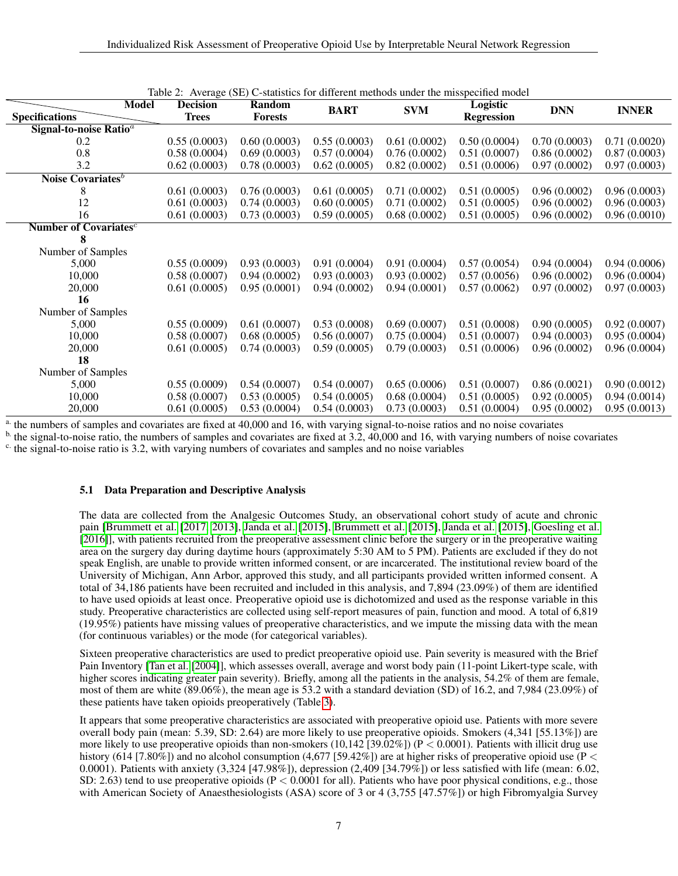| Model                                    | $1100 \mu$ ( $00$ )<br><b>Decision</b> | Random         | C statistics for unferent includes ander the image cented inouch |              | Logistic          |              |              |
|------------------------------------------|----------------------------------------|----------------|------------------------------------------------------------------|--------------|-------------------|--------------|--------------|
| <b>Specifications</b>                    | <b>Trees</b>                           | <b>Forests</b> | <b>BART</b>                                                      | <b>SVM</b>   | <b>Regression</b> | <b>DNN</b>   | <b>INNER</b> |
| Signal-to-noise Ratio <sup>a</sup>       |                                        |                |                                                                  |              |                   |              |              |
| 0.2                                      | 0.55(0.0003)                           | 0.60(0.0003)   | 0.55(0.0003)                                                     | 0.61(0.0002) | 0.50(0.0004)      | 0.70(0.0003) | 0.71(0.0020) |
| 0.8                                      | 0.58(0.0004)                           | 0.69(0.0003)   | 0.57(0.0004)                                                     | 0.76(0.0002) | 0.51(0.0007)      | 0.86(0.0002) | 0.87(0.0003) |
| 3.2                                      | 0.62(0.0003)                           | 0.78(0.0003)   | 0.62(0.0005)                                                     | 0.82(0.0002) | 0.51(0.0006)      | 0.97(0.0002) | 0.97(0.0003) |
| Noise Covariates <sup>b</sup>            |                                        |                |                                                                  |              |                   |              |              |
| 8                                        | 0.61(0.0003)                           | 0.76(0.0003)   | 0.61(0.0005)                                                     | 0.71(0.0002) | 0.51(0.0005)      | 0.96(0.0002) | 0.96(0.0003) |
| 12                                       | 0.61(0.0003)                           | 0.74(0.0003)   | 0.60(0.0005)                                                     | 0.71(0.0002) | 0.51(0.0005)      | 0.96(0.0002) | 0.96(0.0003) |
| 16                                       | 0.61(0.0003)                           | 0.73(0.0003)   | 0.59(0.0005)                                                     | 0.68(0.0002) | 0.51(0.0005)      | 0.96(0.0002) | 0.96(0.0010) |
| <b>Number of Covariates</b> <sup>c</sup> |                                        |                |                                                                  |              |                   |              |              |
| 8                                        |                                        |                |                                                                  |              |                   |              |              |
| Number of Samples                        |                                        |                |                                                                  |              |                   |              |              |
| 5,000                                    | 0.55(0.0009)                           | 0.93(0.0003)   | 0.91(0.0004)                                                     | 0.91(0.0004) | 0.57(0.0054)      | 0.94(0.0004) | 0.94(0.0006) |
| 10,000                                   | 0.58(0.0007)                           | 0.94(0.0002)   | 0.93(0.0003)                                                     | 0.93(0.0002) | 0.57(0.0056)      | 0.96(0.0002) | 0.96(0.0004) |
| 20,000                                   | 0.61(0.0005)                           | 0.95(0.0001)   | 0.94(0.0002)                                                     | 0.94(0.0001) | 0.57(0.0062)      | 0.97(0.0002) | 0.97(0.0003) |
| 16                                       |                                        |                |                                                                  |              |                   |              |              |
| Number of Samples                        |                                        |                |                                                                  |              |                   |              |              |
| 5,000                                    | 0.55(0.0009)                           | 0.61(0.0007)   | 0.53(0.0008)                                                     | 0.69(0.0007) | 0.51(0.0008)      | 0.90(0.0005) | 0.92(0.0007) |
| 10,000                                   | 0.58(0.0007)                           | 0.68(0.0005)   | 0.56(0.0007)                                                     | 0.75(0.0004) | 0.51(0.0007)      | 0.94(0.0003) | 0.95(0.0004) |
| 20,000                                   | 0.61(0.0005)                           | 0.74(0.0003)   | 0.59(0.0005)                                                     | 0.79(0.0003) | 0.51(0.0006)      | 0.96(0.0002) | 0.96(0.0004) |
| 18                                       |                                        |                |                                                                  |              |                   |              |              |
| Number of Samples                        |                                        |                |                                                                  |              |                   |              |              |
| 5,000                                    | 0.55(0.0009)                           | 0.54(0.0007)   | 0.54(0.0007)                                                     | 0.65(0.0006) | 0.51(0.0007)      | 0.86(0.0021) | 0.90(0.0012) |
| 10,000                                   | 0.58(0.0007)                           | 0.53(0.0005)   | 0.54(0.0005)                                                     | 0.68(0.0004) | 0.51(0.0005)      | 0.92(0.0005) | 0.94(0.0014) |
| 20,000                                   | 0.61(0.0005)                           | 0.53(0.0004)   | 0.54(0.0003)                                                     | 0.73(0.0003) | 0.51(0.0004)      | 0.95(0.0002) | 0.95(0.0013) |

<span id="page-6-0"></span>

<sup>a.</sup> the numbers of samples and covariates are fixed at 40,000 and 16, with varying signal-to-noise ratios and no noise covariates

 $<sup>b</sup>$  the signal-to-noise ratio, the numbers of samples and covariates are fixed at 3.2, 40,000 and 16, with varying numbers of noise covariates</sup> <sup>c.</sup> the signal-to-noise ratio is 3.2, with varying numbers of covariates and samples and no noise variables

## 5.1 Data Preparation and Descriptive Analysis

The data are collected from the Analgesic Outcomes Study, an observational cohort study of acute and chronic pain [\[Brummett et al.](#page-21-4) [\[2017,](#page-21-4) [2013\]](#page-20-1), [Janda et al.](#page-21-5) [\[2015\]](#page-21-5), [Brummett et al.](#page-20-2) [\[2015\]](#page-20-2), [Janda et al.](#page-21-5) [\[2015\]](#page-21-5), [Goesling et al.](#page-21-6) [\[2016\]](#page-21-6)], with patients recruited from the preoperative assessment clinic before the surgery or in the preoperative waiting area on the surgery day during daytime hours (approximately 5:30 AM to 5 PM). Patients are excluded if they do not speak English, are unable to provide written informed consent, or are incarcerated. The institutional review board of the University of Michigan, Ann Arbor, approved this study, and all participants provided written informed consent. A total of 34,186 patients have been recruited and included in this analysis, and 7,894 (23.09%) of them are identified to have used opioids at least once. Preoperative opioid use is dichotomized and used as the response variable in this study. Preoperative characteristics are collected using self-report measures of pain, function and mood. A total of 6,819 (19.95%) patients have missing values of preoperative characteristics, and we impute the missing data with the mean (for continuous variables) or the mode (for categorical variables).

Sixteen preoperative characteristics are used to predict preoperative opioid use. Pain severity is measured with the Brief Pain Inventory [\[Tan et al.](#page-21-7) [\[2004\]](#page-21-7)], which assesses overall, average and worst body pain (11-point Likert-type scale, with higher scores indicating greater pain severity). Briefly, among all the patients in the analysis, 54.2% of them are female, most of them are white (89.06%), the mean age is 53.2 with a standard deviation (SD) of 16.2, and 7,984 (23.09%) of these patients have taken opioids preoperatively (Table [3\)](#page-8-0).

It appears that some preoperative characteristics are associated with preoperative opioid use. Patients with more severe overall body pain (mean: 5.39, SD: 2.64) are more likely to use preoperative opioids. Smokers (4,341 [55.13%]) are more likely to use preoperative opioids than non-smokers (10,142 [39.02%]) ( $P < 0.0001$ ). Patients with illicit drug use history (614 [7.80%]) and no alcohol consumption (4.677 [59.42%]) are at higher risks of preoperative opioid use (P  $\lt$ 0.0001). Patients with anxiety (3,324 [47.98%]), depression (2,409 [34.79%]) or less satisfied with life (mean: 6.02, SD: 2.63) tend to use preoperative opioids ( $P < 0.0001$  for all). Patients who have poor physical conditions, e.g., those with American Society of Anaesthesiologists (ASA) score of 3 or 4 (3,755 [47.57%]) or high Fibromyalgia Survey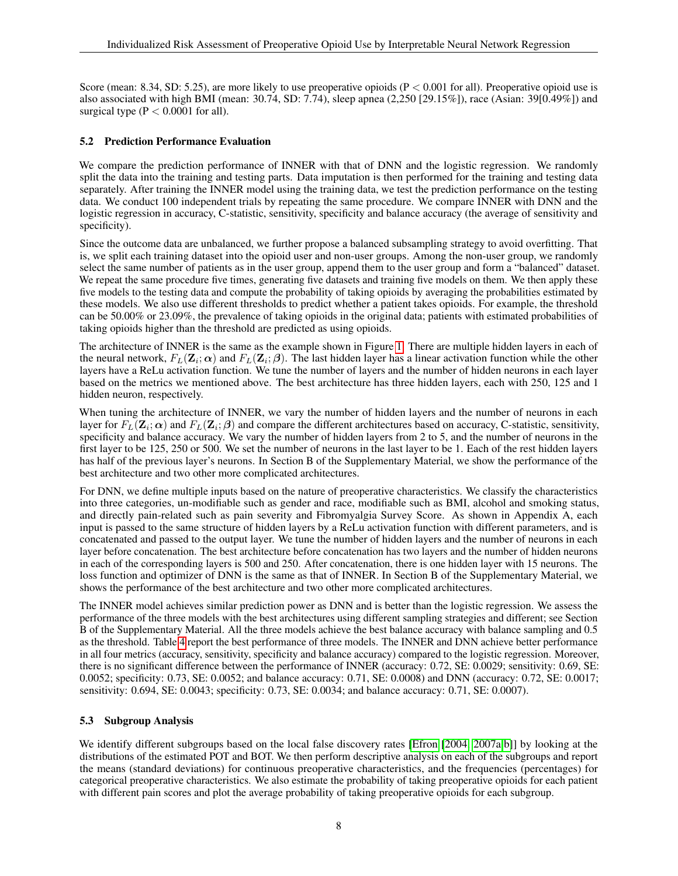Score (mean: 8.34, SD: 5.25), are more likely to use preoperative opioids ( $P < 0.001$  for all). Preoperative opioid use is also associated with high BMI (mean: 30.74, SD: 7.74), sleep apnea (2,250 [29.15%]), race (Asian: 39[0.49%]) and surgical type  $(P < 0.0001$  for all).

### 5.2 Prediction Performance Evaluation

We compare the prediction performance of INNER with that of DNN and the logistic regression. We randomly split the data into the training and testing parts. Data imputation is then performed for the training and testing data separately. After training the INNER model using the training data, we test the prediction performance on the testing data. We conduct 100 independent trials by repeating the same procedure. We compare INNER with DNN and the logistic regression in accuracy, C-statistic, sensitivity, specificity and balance accuracy (the average of sensitivity and specificity).

Since the outcome data are unbalanced, we further propose a balanced subsampling strategy to avoid overfitting. That is, we split each training dataset into the opioid user and non-user groups. Among the non-user group, we randomly select the same number of patients as in the user group, append them to the user group and form a "balanced" dataset. We repeat the same procedure five times, generating five datasets and training five models on them. We then apply these five models to the testing data and compute the probability of taking opioids by averaging the probabilities estimated by these models. We also use different thresholds to predict whether a patient takes opioids. For example, the threshold can be 50.00% or 23.09%, the prevalence of taking opioids in the original data; patients with estimated probabilities of taking opioids higher than the threshold are predicted as using opioids.

The architecture of INNER is the same as the example shown in Figure [1.](#page-2-1) There are multiple hidden layers in each of the neural network,  $F_L(Z_i; \alpha)$  and  $F_L(Z_i; \beta)$ . The last hidden layer has a linear activation function while the other layers have a ReLu activation function. We tune the number of layers and the number of hidden neurons in each layer based on the metrics we mentioned above. The best architecture has three hidden layers, each with 250, 125 and 1 hidden neuron, respectively.

When tuning the architecture of INNER, we vary the number of hidden layers and the number of neurons in each layer for  $F_L(\mathbf{Z}_i;\boldsymbol{\alpha})$  and  $F_L(\mathbf{Z}_i;\boldsymbol{\beta})$  and compare the different architectures based on accuracy, C-statistic, sensitivity, specificity and balance accuracy. We vary the number of hidden layers from 2 to 5, and the number of neurons in the first layer to be 125, 250 or 500. We set the number of neurons in the last layer to be 1. Each of the rest hidden layers has half of the previous layer's neurons. In Section B of the Supplementary Material, we show the performance of the best architecture and two other more complicated architectures.

For DNN, we define multiple inputs based on the nature of preoperative characteristics. We classify the characteristics into three categories, un-modifiable such as gender and race, modifiable such as BMI, alcohol and smoking status, and directly pain-related such as pain severity and Fibromyalgia Survey Score. As shown in Appendix A, each input is passed to the same structure of hidden layers by a ReLu activation function with different parameters, and is concatenated and passed to the output layer. We tune the number of hidden layers and the number of neurons in each layer before concatenation. The best architecture before concatenation has two layers and the number of hidden neurons in each of the corresponding layers is 500 and 250. After concatenation, there is one hidden layer with 15 neurons. The loss function and optimizer of DNN is the same as that of INNER. In Section B of the Supplementary Material, we shows the performance of the best architecture and two other more complicated architectures.

The INNER model achieves similar prediction power as DNN and is better than the logistic regression. We assess the performance of the three models with the best architectures using different sampling strategies and different; see Section B of the Supplementary Material. All the three models achieve the best balance accuracy with balance sampling and 0.5 as the threshold. Table [4](#page-9-0) report the best performance of three models. The INNER and DNN achieve better performance in all four metrics (accuracy, sensitivity, specificity and balance accuracy) compared to the logistic regression. Moreover, there is no significant difference between the performance of INNER (accuracy: 0.72, SE: 0.0029; sensitivity: 0.69, SE: 0.0052; specificity: 0.73, SE: 0.0052; and balance accuracy: 0.71, SE: 0.0008) and DNN (accuracy: 0.72, SE: 0.0017; sensitivity: 0.694, SE: 0.0043; specificity: 0.73, SE: 0.0034; and balance accuracy: 0.71, SE: 0.0007).

## 5.3 Subgroup Analysis

We identify different subgroups based on the local false discovery rates [\[Efron](#page-21-8) [\[2004,](#page-21-8) [2007a,](#page-21-9)[b\]](#page-21-10)] by looking at the distributions of the estimated POT and BOT. We then perform descriptive analysis on each of the subgroups and report the means (standard deviations) for continuous preoperative characteristics, and the frequencies (percentages) for categorical preoperative characteristics. We also estimate the probability of taking preoperative opioids for each patient with different pain scores and plot the average probability of taking preoperative opioids for each subgroup.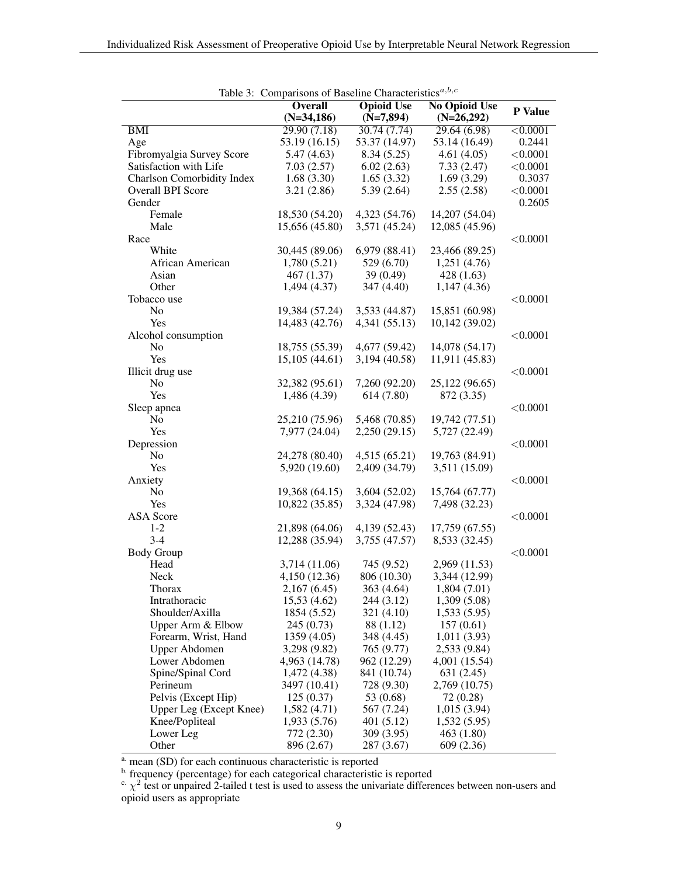<span id="page-8-0"></span>

|                                   | Table 3: Comparisons of Baseline Characteristics <sup><math>a, b, c</math></sup> |                   |                      |                 |
|-----------------------------------|----------------------------------------------------------------------------------|-------------------|----------------------|-----------------|
|                                   | <b>Overall</b>                                                                   | <b>Opioid Use</b> | <b>No Opioid Use</b> | P Value         |
|                                   | $(N=34,186)$                                                                     | $(N=7,894)$       | $(N=26,292)$         |                 |
| BMI                               | 29.90(7.18)                                                                      | 30.74(7.74)       | 29.64(6.98)          | $\sqrt{0.0001}$ |
| Age                               | 53.19 (16.15)                                                                    | 53.37 (14.97)     | 53.14 (16.49)        | 0.2441          |
| Fibromyalgia Survey Score         | 5.47(4.63)                                                                       | 8.34(5.25)        | 4.61(4.05)           | < 0.0001        |
| Satisfaction with Life            | 7.03(2.57)                                                                       | 6.02(2.63)        | 7.33(2.47)           | < 0.0001        |
| <b>Charlson Comorbidity Index</b> | 1.68(3.30)                                                                       | 1.65(3.32)        | 1.69(3.29)           | 0.3037          |
| Overall BPI Score                 | 3.21(2.86)                                                                       | 5.39(2.64)        | 2.55(2.58)           | < 0.0001        |
| Gender                            |                                                                                  |                   |                      | 0.2605          |
| Female                            | 18,530 (54.20)                                                                   | 4,323 (54.76)     | 14,207 (54.04)       |                 |
| Male                              | 15,656 (45.80)                                                                   | 3,571 (45.24)     | 12,085 (45.96)       |                 |
| Race                              |                                                                                  |                   |                      | < 0.0001        |
| White                             | 30,445 (89.06)                                                                   | 6,979 (88.41)     | 23,466 (89.25)       |                 |
| African American                  | 1,780(5.21)                                                                      | 529 (6.70)        | 1,251(4.76)          |                 |
| Asian                             | 467(1.37)                                                                        | 39(0.49)          | 428(1.63)            |                 |
| Other                             | 1,494 (4.37)                                                                     | 347 (4.40)        | 1,147(4.36)          |                 |
| Tobacco use                       |                                                                                  |                   |                      | < 0.0001        |
| No                                | 19,384 (57.24)                                                                   | 3,533 (44.87)     | 15,851 (60.98)       |                 |
| Yes                               | 14,483 (42.76)                                                                   | 4,341 (55.13)     | 10,142 (39.02)       |                 |
| Alcohol consumption               |                                                                                  |                   |                      | < 0.0001        |
|                                   | 18,755 (55.39)                                                                   |                   |                      |                 |
| No                                |                                                                                  | 4,677 (59.42)     | 14,078 (54.17)       |                 |
| Yes                               | 15,105 (44.61)                                                                   | 3,194 (40.58)     | 11,911 (45.83)       |                 |
| Illicit drug use                  |                                                                                  |                   |                      | < 0.0001        |
| No                                | 32,382 (95.61)                                                                   | 7,260 (92.20)     | 25,122 (96.65)       |                 |
| Yes                               | 1,486 (4.39)                                                                     | 614(7.80)         | 872 (3.35)           |                 |
| Sleep apnea                       |                                                                                  |                   |                      | < 0.0001        |
| No                                | 25,210 (75.96)                                                                   | 5,468 (70.85)     | 19,742 (77.51)       |                 |
| Yes                               | 7,977 (24.04)                                                                    | 2,250 (29.15)     | 5,727 (22.49)        |                 |
| Depression                        |                                                                                  |                   |                      | < 0.0001        |
| N <sub>0</sub>                    | 24,278 (80.40)                                                                   | 4,515(65.21)      | 19,763 (84.91)       |                 |
| Yes                               | 5,920 (19.60)                                                                    | 2,409 (34.79)     | 3,511 (15.09)        |                 |
| Anxiety                           |                                                                                  |                   |                      | < 0.0001        |
| N <sub>0</sub>                    | 19,368 (64.15)                                                                   | 3,604 (52.02)     | 15,764 (67.77)       |                 |
| Yes                               | 10,822 (35.85)                                                                   | 3,324 (47.98)     | 7,498 (32.23)        |                 |
| <b>ASA</b> Score                  |                                                                                  |                   |                      | < 0.0001        |
| $1 - 2$                           | 21,898 (64.06)                                                                   | 4,139 (52.43)     | 17,759 (67.55)       |                 |
| $3 - 4$                           | 12,288 (35.94)                                                                   | 3,755 (47.57)     | 8,533 (32.45)        |                 |
| <b>Body Group</b>                 |                                                                                  |                   |                      | < 0.0001        |
| Head                              | 3,714 (11.06)                                                                    | 745 (9.52)        | 2,969 (11.53)        |                 |
| Neck                              | 4,150 (12.36)                                                                    | 806 (10.30)       | 3,344 (12.99)        |                 |
| Thorax                            | 2,167(6.45)                                                                      | 363 (4.64)        | 1,804(7.01)          |                 |
| Intrathoracic                     | 15,53 (4.62)                                                                     | 244 (3.12)        | 1,309(5.08)          |                 |
| Shoulder/Axilla                   | 1854 (5.52)                                                                      | 321 (4.10)        | 1,533(5.95)          |                 |
| Upper Arm & Elbow                 | 245 (0.73)                                                                       | 88 (1.12)         | 157(0.61)            |                 |
| Forearm, Wrist, Hand              | 1359 (4.05)                                                                      | 348 (4.45)        | 1,011(3.93)          |                 |
|                                   |                                                                                  |                   | 2,533 (9.84)         |                 |
| Upper Abdomen                     | 3,298 (9.82)<br>4,963 (14.78)                                                    | 765 (9.77)        |                      |                 |
| Lower Abdomen                     |                                                                                  | 962 (12.29)       | 4,001 (15.54)        |                 |
| Spine/Spinal Cord                 | 1,472 (4.38)                                                                     | 841 (10.74)       | 631(2.45)            |                 |
| Perineum                          | 3497 (10.41)                                                                     | 728 (9.30)        | 2,769 (10.75)        |                 |
| Pelvis (Except Hip)               | 125(0.37)                                                                        | 53 (0.68)         | 72 (0.28)            |                 |
| Upper Leg (Except Knee)           | 1,582 (4.71)                                                                     | 567 (7.24)        | 1,015(3.94)          |                 |
| Knee/Popliteal                    | 1,933 (5.76)                                                                     | 401(5.12)         | 1,532(5.95)          |                 |
| Lower Leg                         | 772 (2.30)                                                                       | 309 (3.95)        | 463 (1.80)           |                 |
| Other                             | 896 (2.67)                                                                       | 287 (3.67)        | 609 (2.36)           |                 |

Table 3: Comparisons of Baseline Characteristics $a,b,c$ 

a. mean (SD) for each continuous characteristic is reported

b. frequency (percentage) for each categorical characteristic is reported

<sup>c.</sup>  $\chi^2$  test or unpaired 2-tailed t test is used to assess the univariate differences between non-users and opioid users as appropriate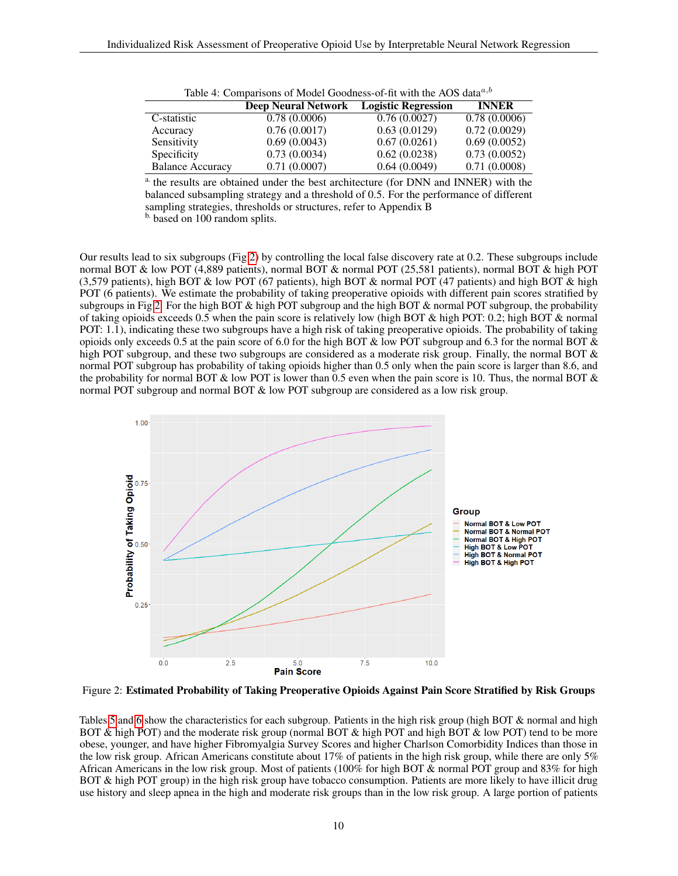<span id="page-9-0"></span>

| TWOTE IT COMMODIATIONS OF MEDWER COOMMON OF MY HIM WAS TRUNK WHEN |                            |                            |              |  |  |  |  |
|-------------------------------------------------------------------|----------------------------|----------------------------|--------------|--|--|--|--|
|                                                                   | <b>Deep Neural Network</b> | <b>Logistic Regression</b> | <b>INNER</b> |  |  |  |  |
| C-statistic                                                       | 0.78(0.0006)               | 0.76(0.0027)               | 0.78(0.0006) |  |  |  |  |
| Accuracy                                                          | 0.76(0.0017)               | 0.63(0.0129)               | 0.72(0.0029) |  |  |  |  |
| Sensitivity                                                       | 0.69(0.0043)               | 0.67(0.0261)               | 0.69(0.0052) |  |  |  |  |
| Specificity                                                       | 0.73(0.0034)               | 0.62(0.0238)               | 0.73(0.0052) |  |  |  |  |
| <b>Balance Accuracy</b>                                           | 0.71(0.0007)               | 0.64(0.0049)               | 0.71(0.0008) |  |  |  |  |

Table 4: Comparisons of Model Goodness-of-fit with the AOS data $a,b$ 

a. the results are obtained under the best architecture (for DNN and INNER) with the balanced subsampling strategy and a threshold of 0.5. For the performance of different sampling strategies, thresholds or structures, refer to Appendix B

b. based on 100 random splits.

Our results lead to six subgroups (Fig [2\)](#page-9-1) by controlling the local false discovery rate at 0.2. These subgroups include normal BOT & low POT (4,889 patients), normal BOT & normal POT (25,581 patients), normal BOT & high POT (3,579 patients), high BOT & low POT (67 patients), high BOT & normal POT (47 patients) and high BOT & high POT (6 patients). We estimate the probability of taking preoperative opioids with different pain scores stratified by subgroups in Fig [2.](#page-9-1) For the high BOT & high POT subgroup and the high BOT & normal POT subgroup, the probability of taking opioids exceeds 0.5 when the pain score is relatively low (high BOT & high POT: 0.2; high BOT & normal POT: 1.1), indicating these two subgroups have a high risk of taking preoperative opioids. The probability of taking opioids only exceeds 0.5 at the pain score of 6.0 for the high BOT & low POT subgroup and 6.3 for the normal BOT  $\&$ high POT subgroup, and these two subgroups are considered as a moderate risk group. Finally, the normal BOT & normal POT subgroup has probability of taking opioids higher than 0.5 only when the pain score is larger than 8.6, and the probability for normal BOT  $\&$  low POT is lower than 0.5 even when the pain score is 10. Thus, the normal BOT  $\&$ normal POT subgroup and normal BOT & low POT subgroup are considered as a low risk group.

<span id="page-9-1"></span>

Figure 2: Estimated Probability of Taking Preoperative Opioids Against Pain Score Stratified by Risk Groups

Tables [5](#page-11-0) and [6](#page-12-0) show the characteristics for each subgroup. Patients in the high risk group (high BOT & normal and high BOT & high POT) and the moderate risk group (normal BOT & high POT and high BOT & low POT) tend to be more obese, younger, and have higher Fibromyalgia Survey Scores and higher Charlson Comorbidity Indices than those in the low risk group. African Americans constitute about 17% of patients in the high risk group, while there are only 5% African Americans in the low risk group. Most of patients (100% for high BOT  $\&$  normal POT group and 83% for high BOT & high POT group) in the high risk group have tobacco consumption. Patients are more likely to have illicit drug use history and sleep apnea in the high and moderate risk groups than in the low risk group. A large portion of patients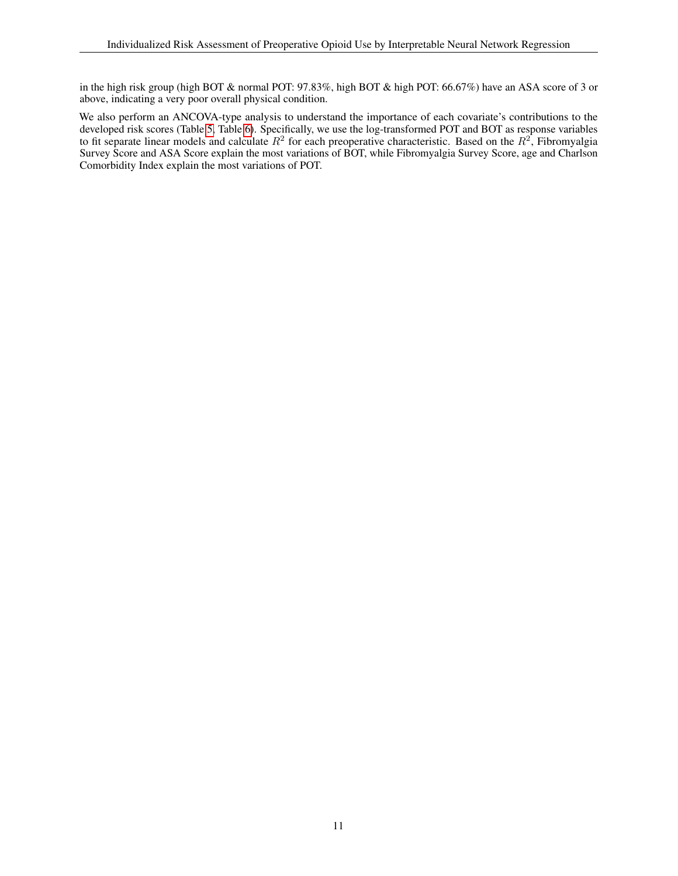in the high risk group (high BOT & normal POT: 97.83%, high BOT & high POT: 66.67%) have an ASA score of 3 or above, indicating a very poor overall physical condition.

We also perform an ANCOVA-type analysis to understand the importance of each covariate's contributions to the developed risk scores (Table [5,](#page-11-0) Table [6\)](#page-12-0). Specifically, we use the log-transformed POT and BOT as response variables to fit separate linear models and calculate  $R^2$  for each preoperative characteristic. Based on the  $R^2$ , Fibromyalgia Survey Score and ASA Score explain the most variations of BOT, while Fibromyalgia Survey Score, age and Charlson Comorbidity Index explain the most variations of POT.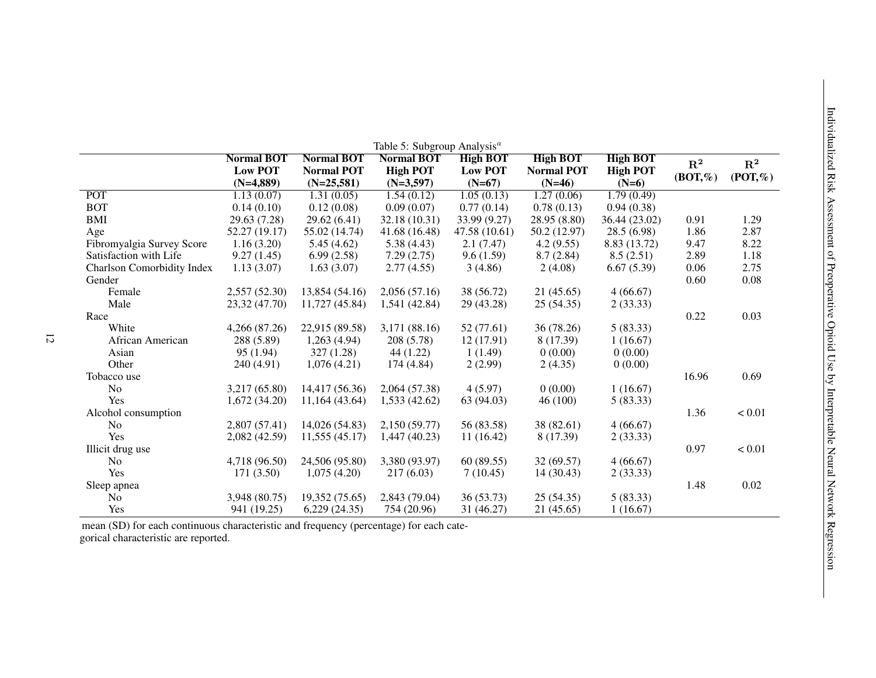<span id="page-11-0"></span>

|                            | <b>Normal BOT</b><br><b>Low POT</b><br>$(N=4,889)$ | <b>Normal BOT</b><br><b>Normal POT</b><br>$(N=25,581)$ | <b>Normal BOT</b><br><b>High POT</b><br>$(N=3,597)$ | <b>High BOT</b><br><b>Low POT</b><br>$(N=67)$ | <b>High BOT</b><br><b>Normal POT</b><br>$(N=46)$ | <b>High BOT</b><br><b>High POT</b><br>$(N=6)$ | $\mathbf{R}^2$<br>$(BOT, \% )$ | ${\bf R^2}$<br>$(POT,\%)$ |
|----------------------------|----------------------------------------------------|--------------------------------------------------------|-----------------------------------------------------|-----------------------------------------------|--------------------------------------------------|-----------------------------------------------|--------------------------------|---------------------------|
| <b>POT</b>                 | 1.13(0.07)                                         | 1.31(0.05)                                             | 1.54(0.12)                                          | 1.05(0.13)                                    | 1.27(0.06)                                       | 1.79(0.49)                                    |                                |                           |
| <b>BOT</b>                 | 0.14(0.10)                                         | 0.12(0.08)                                             | 0.09(0.07)                                          | 0.77(0.14)                                    | 0.78(0.13)                                       | 0.94(0.38)                                    |                                |                           |
| <b>BMI</b>                 | 29.63 (7.28)                                       | 29.62(6.41)                                            | 32.18 (10.31)                                       | 33.99 (9.27)                                  | 28.95 (8.80)                                     | 36.44 (23.02)                                 | 0.91                           | 1.29                      |
| Age                        | 52.27 (19.17)                                      | 55.02 (14.74)                                          | 41.68 (16.48)                                       | 47.58 (10.61)                                 | 50.2 (12.97)                                     | 28.5(6.98)                                    | 1.86                           | 2.87                      |
| Fibromyalgia Survey Score  | 1.16(3.20)                                         | 5.45(4.62)                                             | 5.38(4.43)                                          | 2.1(7.47)                                     | 4.2(9.55)                                        | 8.83 (13.72)                                  | 9.47                           | 8.22                      |
| Satisfaction with Life     | 9.27(1.45)                                         | 6.99(2.58)                                             | 7.29(2.75)                                          | 9.6(1.59)                                     | 8.7(2.84)                                        | 8.5(2.51)                                     | 2.89                           | 1.18                      |
| Charlson Comorbidity Index | 1.13(3.07)                                         | 1.63(3.07)                                             | 2.77(4.55)                                          | 3(4.86)                                       | 2(4.08)                                          | 6.67(5.39)                                    | 0.06                           | 2.75                      |
| Gender                     |                                                    |                                                        |                                                     |                                               |                                                  |                                               | 0.60                           | 0.08                      |
| Female                     | 2,557(52.30)                                       | 13,854 (54.16)                                         | 2,056 (57.16)                                       | 38 (56.72)                                    | 21(45.65)                                        | 4(66.67)                                      |                                |                           |
| Male                       | 23,32 (47.70)                                      | 11,727 (45.84)                                         | 1,541 (42.84)                                       | 29 (43.28)                                    | 25(54.35)                                        | 2(33.33)                                      |                                |                           |
| Race                       |                                                    |                                                        |                                                     |                                               |                                                  |                                               | 0.22                           | 0.03                      |
| White                      | 4,266 (87.26)                                      | 22,915 (89.58)                                         | 3,171 (88.16)                                       | 52 (77.61)                                    | 36 (78.26)                                       | 5(83.33)                                      |                                |                           |
| African American           | 288 (5.89)                                         | 1,263(4.94)                                            | 208(5.78)                                           | 12(17.91)                                     | 8 (17.39)                                        | 1(16.67)                                      |                                |                           |
| Asian                      | 95(1.94)                                           | 327(1.28)                                              | 44(1.22)                                            | 1(1.49)                                       | 0(0.00)                                          | 0(0.00)                                       |                                |                           |
| Other                      | 240 (4.91)                                         | 1,076(4.21)                                            | 174(4.84)                                           | 2(2.99)                                       | 2(4.35)                                          | 0(0.00)                                       |                                |                           |
| Tobacco use                |                                                    |                                                        |                                                     |                                               |                                                  |                                               | 16.96                          | 0.69                      |
| N <sub>o</sub>             | 3,217 (65.80)                                      | 14,417 (56.36)                                         | 2,064 (57.38)                                       | 4(5.97)                                       | 0(0.00)                                          | 1(16.67)                                      |                                |                           |
| Yes                        | 1,672(34.20)                                       | 11,164 (43.64)                                         | 1,533 (42.62)                                       | 63 (94.03)                                    | 46(100)                                          | 5(83.33)                                      |                                |                           |
| Alcohol consumption        |                                                    |                                                        |                                                     |                                               |                                                  |                                               | 1.36                           | < 0.01                    |
| N <sub>0</sub>             | 2,807(57.41)                                       | 14,026 (54.83)                                         | 2,150 (59.77)                                       | 56 (83.58)                                    | 38 (82.61)                                       | 4(66.67)                                      |                                |                           |
| Yes                        | 2,082 (42.59)                                      | 11,555 (45.17)                                         | $1,447$ (40.23)                                     | 11(16.42)                                     | 8 (17.39)                                        | 2(33.33)                                      |                                |                           |
| Illicit drug use           |                                                    |                                                        |                                                     |                                               |                                                  |                                               | 0.97                           | < 0.01                    |
| N <sub>o</sub>             | 4,718 (96.50)                                      | 24,506 (95.80)                                         | 3,380 (93.97)                                       | 60(89.55)                                     | 32(69.57)                                        | 4(66.67)                                      |                                |                           |
| Yes                        | 171(3.50)                                          | 1,075(4.20)                                            | 217(6.03)                                           | 7(10.45)                                      | 14(30.43)                                        | 2(33.33)                                      |                                |                           |
| Sleep apnea                |                                                    |                                                        |                                                     |                                               |                                                  |                                               | 1.48                           | 0.02                      |
| N <sub>o</sub>             | 3,948 (80.75)                                      | 19,352 (75.65)                                         | 2,843 (79.04)                                       | 36(53.73)                                     | 25(54.35)                                        | 5(83.33)                                      |                                |                           |
| Yes                        | 941 (19.25)                                        | 6,229(24.35)                                           | 754 (20.96)                                         | 31 (46.27)                                    | 21(45.65)                                        | 1(16.67)                                      |                                |                           |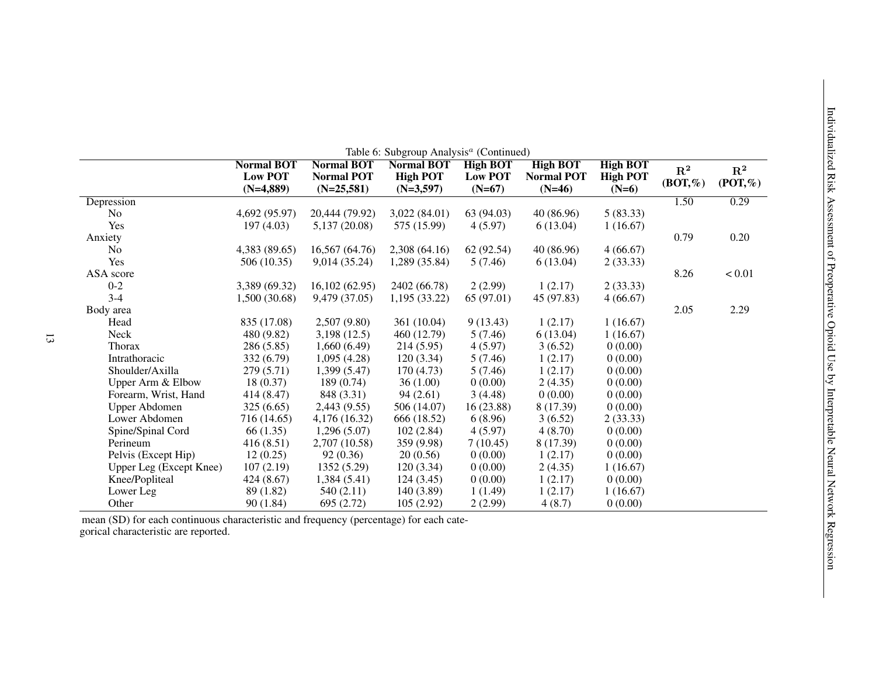<span id="page-12-0"></span>

|                         | <b>Normal BOT</b><br><b>Low POT</b><br>$(N=4,889)$ | <b>Normal BOT</b><br><b>Normal POT</b><br>$(N=25,581)$ | <b>Normal BOT</b><br><b>High POT</b><br>$(N=3,597)$ | <b>High BOT</b><br><b>Low POT</b><br>$(N=67)$ | Table 6: Subgroup Analysis <sup>a</sup> (Continued)<br><b>High BOT</b><br><b>Normal POT</b><br>$(N=46)$ | <b>High BOT</b><br><b>High POT</b><br>$(N=6)$ | $\mathbf{R}^2$<br>$(BOT, \% )$ | $\mathbf{R}^2$<br>$($ POT, $%$ |
|-------------------------|----------------------------------------------------|--------------------------------------------------------|-----------------------------------------------------|-----------------------------------------------|---------------------------------------------------------------------------------------------------------|-----------------------------------------------|--------------------------------|--------------------------------|
| Depression              |                                                    |                                                        |                                                     |                                               |                                                                                                         |                                               | 1.50                           | 0.29                           |
| N <sub>0</sub>          | 4,692 (95.97)                                      | 20,444 (79.92)                                         | 3,022(84.01)                                        | 63 (94.03)                                    | 40 (86.96)                                                                                              | 5(83.33)                                      |                                |                                |
| Yes                     | 197(4.03)                                          | 5,137 (20.08)                                          | 575 (15.99)                                         | 4(5.97)                                       | 6(13.04)                                                                                                | 1(16.67)                                      |                                |                                |
| Anxiety                 |                                                    |                                                        |                                                     |                                               |                                                                                                         |                                               | 0.79                           | 0.20                           |
| N <sub>o</sub>          | 4,383 (89.65)                                      | 16,567 (64.76)                                         | 2,308 (64.16)                                       | 62 (92.54)                                    | 40 (86.96)                                                                                              | 4(66.67)                                      |                                |                                |
| Yes                     | 506(10.35)                                         | 9,014 (35.24)                                          | 1,289 (35.84)                                       | 5(7.46)                                       | 6(13.04)                                                                                                | 2(33.33)                                      |                                |                                |
| ASA score               |                                                    |                                                        |                                                     |                                               |                                                                                                         |                                               | 8.26                           | < 0.01                         |
| $0 - 2$                 | 3,389 (69.32)                                      | 16,102(62.95)                                          | 2402 (66.78)                                        | 2(2.99)                                       | 1(2.17)                                                                                                 | 2(33.33)                                      |                                |                                |
| $3 - 4$                 | 1,500 (30.68)                                      | 9,479 (37.05)                                          | 1,195(33.22)                                        | 65 (97.01)                                    | 45 (97.83)                                                                                              | 4(66.67)                                      |                                |                                |
| Body area               |                                                    |                                                        |                                                     |                                               |                                                                                                         |                                               | 2.05                           | 2.29                           |
| Head                    | 835 (17.08)                                        | 2,507 (9.80)                                           | 361 (10.04)                                         | 9(13.43)                                      | 1(2.17)                                                                                                 | 1(16.67)                                      |                                |                                |
| Neck                    | 480 (9.82)                                         | 3,198(12.5)                                            | 460 (12.79)                                         | 5(7.46)                                       | 6(13.04)                                                                                                | 1(16.67)                                      |                                |                                |
| <b>Thorax</b>           | 286 (5.85)                                         | 1,660(6.49)                                            | 214(5.95)                                           | 4(5.97)                                       | 3(6.52)                                                                                                 | 0(0.00)                                       |                                |                                |
| Intrathoracic           | 332 (6.79)                                         | 1,095(4.28)                                            | 120(3.34)                                           | 5(7.46)                                       | 1(2.17)                                                                                                 | 0(0.00)                                       |                                |                                |
| Shoulder/Axilla         | 279 (5.71)                                         | 1,399(5.47)                                            | 170(4.73)                                           | 5(7.46)                                       | 1(2.17)                                                                                                 | 0(0.00)                                       |                                |                                |
| Upper Arm & Elbow       | 18(0.37)                                           | 189(0.74)                                              | 36(1.00)                                            | 0(0.00)                                       | 2(4.35)                                                                                                 | 0(0.00)                                       |                                |                                |
| Forearm, Wrist, Hand    | 414 (8.47)                                         | 848 (3.31)                                             | 94(2.61)                                            | 3(4.48)                                       | 0(0.00)                                                                                                 | 0(0.00)                                       |                                |                                |
| <b>Upper Abdomen</b>    | 325(6.65)                                          | 2,443 (9.55)                                           | 506 (14.07)                                         | 16(23.88)                                     | 8 (17.39)                                                                                               | 0(0.00)                                       |                                |                                |
| Lower Abdomen           | 716 (14.65)                                        | 4,176 (16.32)                                          | 666 (18.52)                                         | 6(8.96)                                       | 3(6.52)                                                                                                 | 2(33.33)                                      |                                |                                |
| Spine/Spinal Cord       | 66 (1.35)                                          | 1,296(5.07)                                            | 102(2.84)                                           | 4(5.97)                                       | 4(8.70)                                                                                                 | 0(0.00)                                       |                                |                                |
| Perineum                | 416(8.51)                                          | 2,707 (10.58)                                          | 359 (9.98)                                          | 7(10.45)                                      | 8 (17.39)                                                                                               | 0(0.00)                                       |                                |                                |
| Pelvis (Except Hip)     | 12(0.25)                                           | 92 (0.36)                                              | 20(0.56)                                            | 0(0.00)                                       | 1(2.17)                                                                                                 | 0(0.00)                                       |                                |                                |
| Upper Leg (Except Knee) | 107(2.19)                                          | 1352 (5.29)                                            | 120(3.34)                                           | 0(0.00)                                       | 2(4.35)                                                                                                 | 1(16.67)                                      |                                |                                |
| Knee/Popliteal          | 424 (8.67)                                         | 1,384(5.41)                                            | 124(3.45)                                           | 0(0.00)                                       | 1(2.17)                                                                                                 | 0(0.00)                                       |                                |                                |
| Lower Leg               | 89 (1.82)                                          | 540(2.11)                                              | 140(3.89)                                           | 1(1.49)                                       | 1(2.17)                                                                                                 | 1(16.67)                                      |                                |                                |
| Other                   | 90(1.84)                                           | 695 (2.72)                                             | 105(2.92)                                           | 2(2.99)                                       | 4(8.7)                                                                                                  | 0(0.00)                                       |                                |                                |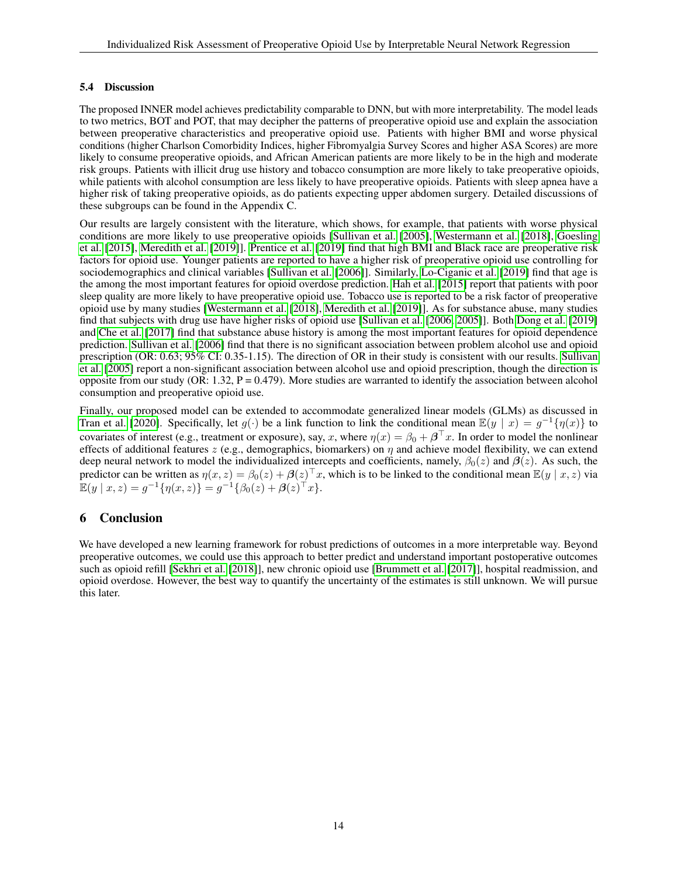#### 5.4 Discussion

The proposed INNER model achieves predictability comparable to DNN, but with more interpretability. The model leads to two metrics, BOT and POT, that may decipher the patterns of preoperative opioid use and explain the association between preoperative characteristics and preoperative opioid use. Patients with higher BMI and worse physical conditions (higher Charlson Comorbidity Indices, higher Fibromyalgia Survey Scores and higher ASA Scores) are more likely to consume preoperative opioids, and African American patients are more likely to be in the high and moderate risk groups. Patients with illicit drug use history and tobacco consumption are more likely to take preoperative opioids, while patients with alcohol consumption are less likely to have preoperative opioids. Patients with sleep apnea have a higher risk of taking preoperative opioids, as do patients expecting upper abdomen surgery. Detailed discussions of these subgroups can be found in the Appendix C.

Our results are largely consistent with the literature, which shows, for example, that patients with worse physical conditions are more likely to use preoperative opioids [\[Sullivan et al.](#page-21-11) [\[2005\]](#page-21-11), [Westermann et al.](#page-21-12) [\[2018\]](#page-21-12), [Goesling](#page-21-13) [et al.](#page-21-13) [\[2015\]](#page-21-13), [Meredith et al.](#page-21-14) [\[2019\]](#page-21-14)]. [Prentice et al.](#page-21-15) [\[2019\]](#page-21-15) find that high BMI and Black race are preoperative risk factors for opioid use. Younger patients are reported to have a higher risk of preoperative opioid use controlling for sociodemographics and clinical variables [\[Sullivan et al.](#page-21-16) [\[2006\]](#page-21-16)]. Similarly, [Lo-Ciganic et al.](#page-20-14) [\[2019\]](#page-20-14) find that age is the among the most important features for opioid overdose prediction. [Hah et al.](#page-21-17) [\[2015\]](#page-21-17) report that patients with poor sleep quality are more likely to have preoperative opioid use. Tobacco use is reported to be a risk factor of preoperative opioid use by many studies [\[Westermann et al.](#page-21-12) [\[2018\]](#page-21-12), [Meredith et al.](#page-21-14) [\[2019\]](#page-21-14)]. As for substance abuse, many studies find that subjects with drug use have higher risks of opioid use [\[Sullivan et al.](#page-21-16) [\[2006,](#page-21-16) [2005\]](#page-21-11)]. Both [Dong et al.](#page-20-13) [\[2019\]](#page-20-13) and [Che et al.](#page-20-15) [\[2017\]](#page-20-15) find that substance abuse history is among the most important features for opioid dependence prediction. [Sullivan et al.](#page-21-16) [\[2006\]](#page-21-16) find that there is no significant association between problem alcohol use and opioid prescription (OR: 0.63; 95% CI: 0.35-1.15). The direction of OR in their study is consistent with our results. [Sullivan](#page-21-11) [et al.](#page-21-11) [\[2005\]](#page-21-11) report a non-significant association between alcohol use and opioid prescription, though the direction is opposite from our study (OR: 1.32,  $P = 0.479$ ). More studies are warranted to identify the association between alcohol consumption and preoperative opioid use.

Finally, our proposed model can be extended to accommodate generalized linear models (GLMs) as discussed in [Tran et al.](#page-21-18) [\[2020\]](#page-21-18). Specifically, let  $g(\cdot)$  be a link function to link the conditional mean  $\mathbb{E}(y \mid x) = g^{-1}\{\eta(x)\}$  to covariates of interest (e.g., treatment or exposure), say, x, where  $\eta(x) = \beta_0 + \beta^\top x$ . In order to model the nonlinear effects of additional features z (e.g., demographics, biomarkers) on  $\eta$  and achieve model flexibility, we can extend deep neural network to model the individualized intercepts and coefficients, namely,  $\beta_0(z)$  and  $\beta(z)$ . As such, the predictor can be written as  $\eta(x, z) = \beta_0(z) + \beta(z)^\top x$ , which is to be linked to the conditional mean  $\mathbb{E}(y | x, z)$  via  $\mathbb{E}(y \mid x, z) = g^{-1} \{ \eta(x, z) \} = g^{-1} \{ \beta_0(z) + \boldsymbol{\beta}(z)^{\top} x \}.$ 

# 6 Conclusion

We have developed a new learning framework for robust predictions of outcomes in a more interpretable way. Beyond preoperative outcomes, we could use this approach to better predict and understand important postoperative outcomes such as opioid refill [\[Sekhri et al.](#page-21-19) [\[2018\]](#page-21-19)], new chronic opioid use [\[Brummett et al.](#page-21-4) [\[2017\]](#page-21-4)], hospital readmission, and opioid overdose. However, the best way to quantify the uncertainty of the estimates is still unknown. We will pursue this later.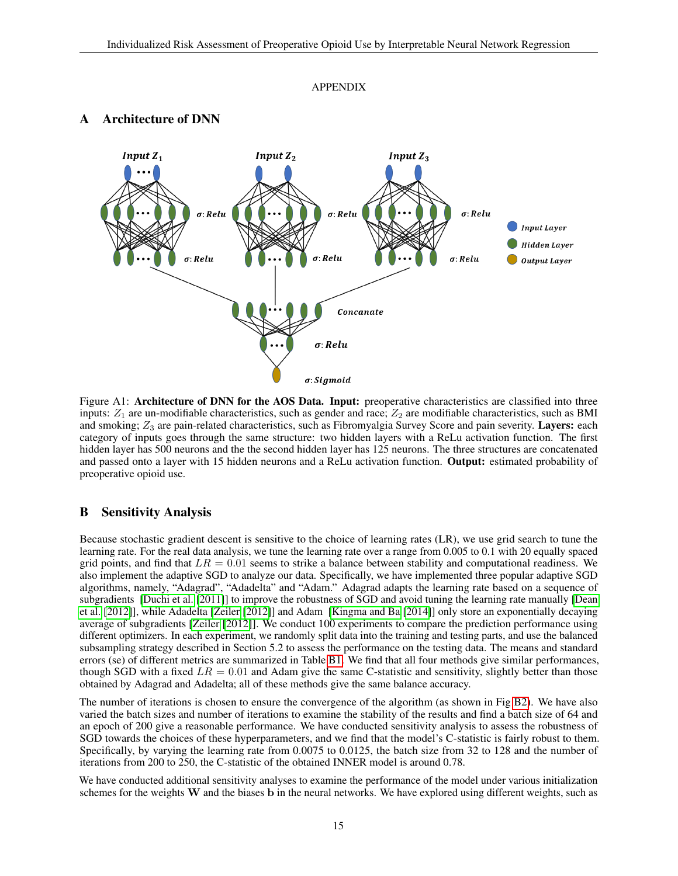#### APPENDIX



# Architecture of DNN

Figure A1: Architecture of DNN for the AOS Data. Input: preoperative characteristics are classified into three inputs:  $Z_1$  are un-modifiable characteristics, such as gender and race;  $Z_2$  are modifiable characteristics, such as BMI and smoking;  $Z_3$  are pain-related characteristics, such as Fibromyalgia Survey Score and pain severity. Layers: each category of inputs goes through the same structure: two hidden layers with a ReLu activation function. The first hidden layer has 500 neurons and the the second hidden layer has 125 neurons. The three structures are concatenated and passed onto a layer with 15 hidden neurons and a ReLu activation function. Output: estimated probability of preoperative opioid use.

#### B Sensitivity Analysis

Because stochastic gradient descent is sensitive to the choice of learning rates (LR), we use grid search to tune the learning rate. For the real data analysis, we tune the learning rate over a range from 0.005 to 0.1 with 20 equally spaced grid points, and find that  $LR = 0.01$  seems to strike a balance between stability and computational readiness. We also implement the adaptive SGD to analyze our data. Specifically, we have implemented three popular adaptive SGD algorithms, namely, "Adagrad", "Adadelta" and "Adam." Adagrad adapts the learning rate based on a sequence of subgradients [\[Duchi et al.](#page-21-20) [\[2011\]](#page-21-20)] to improve the robustness of SGD and avoid tuning the learning rate manually [\[Dean](#page-22-0) [et al.](#page-22-0) [\[2012\]](#page-22-0)], while Adadelta [\[Zeiler](#page-22-1) [\[2012\]](#page-22-1)] and Adam [\[Kingma and Ba](#page-22-2) [\[2014\]](#page-22-2)] only store an exponentially decaying average of subgradients [\[Zeiler](#page-22-1) [\[2012\]](#page-22-1)]. We conduct 100 experiments to compare the prediction performance using different optimizers. In each experiment, we randomly split data into the training and testing parts, and use the balanced subsampling strategy described in Section 5.2 to assess the performance on the testing data. The means and standard errors (se) of different metrics are summarized in Table [B1.](#page-15-0) We find that all four methods give similar performances, though SGD with a fixed  $LR = 0.01$  and Adam give the same C-statistic and sensitivity, slightly better than those obtained by Adagrad and Adadelta; all of these methods give the same balance accuracy.

The number of iterations is chosen to ensure the convergence of the algorithm (as shown in Fig [B2\)](#page-16-0). We have also varied the batch sizes and number of iterations to examine the stability of the results and find a batch size of 64 and an epoch of 200 give a reasonable performance. We have conducted sensitivity analysis to assess the robustness of SGD towards the choices of these hyperparameters, and we find that the model's C-statistic is fairly robust to them. Specifically, by varying the learning rate from 0.0075 to 0.0125, the batch size from 32 to 128 and the number of iterations from 200 to 250, the C-statistic of the obtained INNER model is around 0.78.

We have conducted additional sensitivity analyses to examine the performance of the model under various initialization schemes for the weights W and the biases b in the neural networks. We have explored using different weights, such as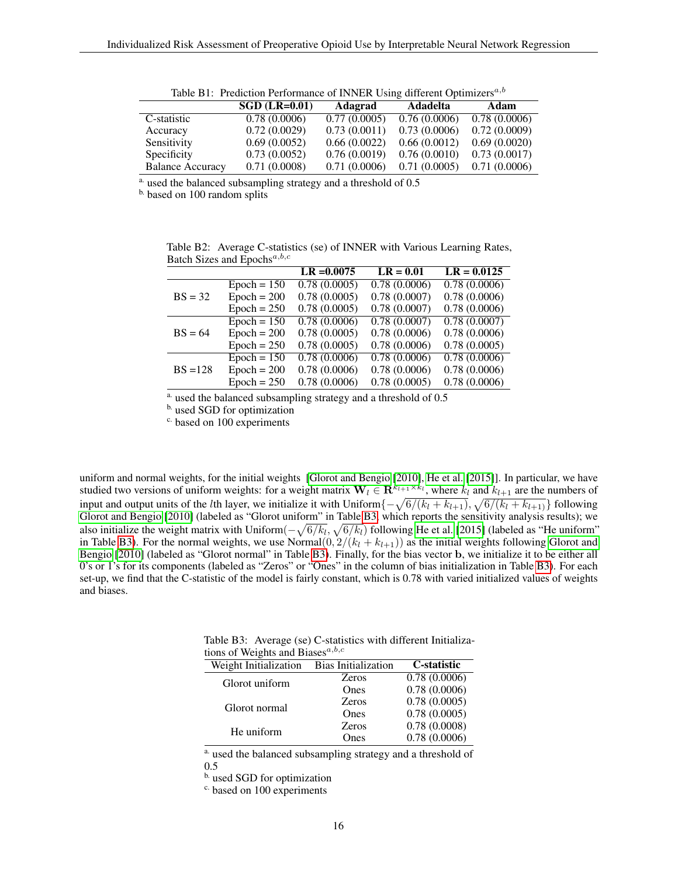<span id="page-15-0"></span>

| raone B 1: 1 regieron i enormanee or n'uvent come anneient optimizero |                 |              |              |              |  |  |  |
|-----------------------------------------------------------------------|-----------------|--------------|--------------|--------------|--|--|--|
|                                                                       | $SGD$ (LR=0.01) | Adagrad      | Adadelta     | Adam         |  |  |  |
| C-statistic                                                           | 0.78(0.0006)    | 0.77(0.0005) | 0.76(0.0006) | 0.78(0.0006) |  |  |  |
| Accuracy                                                              | 0.72(0.0029)    | 0.73(0.0011) | 0.73(0.0006) | 0.72(0.0009) |  |  |  |
| Sensitivity                                                           | 0.69(0.0052)    | 0.66(0.0022) | 0.66(0.0012) | 0.69(0.0020) |  |  |  |
| Specificity                                                           | 0.73(0.0052)    | 0.76(0.0019) | 0.76(0.0010) | 0.73(0.0017) |  |  |  |
| <b>Balance Accuracy</b>                                               | 0.71(0.0008)    | 0.71(0.0006) | 0.71(0.0005) | 0.71(0.0006) |  |  |  |

Table B1: Prediction Performance of INNER Using different Optimizers<sup> $a,b$ </sup>

<sup>a.</sup> used the balanced subsampling strategy and a threshold of 0.5

b. based on 100 random splits

Table B2: Average C-statistics (se) of INNER with Various Learning Rates, Batch Sizes and Epochs $a,b,c$ 

|            |               | $LR = 0.0075$ | $LR = 0.01$  | $LR = 0.0125$             |
|------------|---------------|---------------|--------------|---------------------------|
|            | $Epoch = 150$ | 0.78(0.0005)  | 0.78(0.0006) | 0.78(0.0006)              |
| $BS = 32$  | $Epoch = 200$ | 0.78(0.0005)  | 0.78(0.0007) | 0.78(0.0006)              |
|            | $Epoch = 250$ | 0.78(0.0005)  | 0.78(0.0007) | 0.78(0.0006)              |
|            | $Epoch = 150$ | 0.78(0.0006)  | 0.78(0.0007) | $\overline{0.78(0.0007)}$ |
| $BS = 64$  | $Epoch = 200$ | 0.78(0.0005)  | 0.78(0.0006) | 0.78(0.0006)              |
|            | $Epoch = 250$ | 0.78(0.0005)  | 0.78(0.0006) | 0.78(0.0005)              |
| $BS = 128$ | $Epoch = 150$ | 0.78(0.0006)  | 0.78(0.0006) | 0.78(0.0006)              |
|            | $Epoch = 200$ | 0.78(0.0006)  | 0.78(0.0006) | 0.78(0.0006)              |
|            | $Epoch = 250$ | 0.78(0.0006)  | 0.78(0.0005) | 0.78(0.0006)              |

a. used the balanced subsampling strategy and a threshold of 0.5

b. used SGD for optimization

c. based on 100 experiments

uniform and normal weights, for the initial weights [\[Glorot and Bengio](#page-22-3) [\[2010\]](#page-22-3), [He et al.](#page-22-4) [\[2015\]](#page-22-4)]. In particular, we have studied two versions of uniform weights: for a weight matrix  $\mathbf{W}_l \in \mathbf{R}^{k_{l+1} \times k_l}$ , where  $k_l$  and  $k_{l+1}$  are the numbers of input and output units of the *l*th layer, we initialize it with Uniform $\{-\sqrt{6/(k_l + k_{l+1})}, \sqrt{6/(k_l + k_{l+1})}\}$  following [Glorot and Bengio](#page-22-3) [\[2010\]](#page-22-3) (labeled as "Glorot uniform" in Table [B3,](#page-15-1) which reports the sensitivity analysis results); we also initialize the weight matrix with Uniform $(-\sqrt{6/k_l},\sqrt{6/k_l})$  following [He et al.](#page-22-4) [\[2015\]](#page-22-4) (labeled as "He uniform" in Table [B3\)](#page-15-1). For the normal weights, we use Normal $(0, 2/(k_l + k_{l+1}))$  as the initial weights following [Glorot and](#page-22-3) [Bengio](#page-22-3) [\[2010\]](#page-22-3) (labeled as "Glorot normal" in Table [B3\)](#page-15-1). Finally, for the bias vector b, we initialize it to be either all 0's or 1's for its components (labeled as "Zeros" or "Ones" in the column of bias initialization in Table [B3\)](#page-15-1). For each set-up, we find that the C-statistic of the model is fairly constant, which is 0.78 with varied initialized values of weights and biases.

<span id="page-15-1"></span>Table B3: Average (se) C-statistics with different Initializations of Weights and Biases $a,b,c$ 

| Weight Initialization | <b>Bias Initialization</b> | C-statistic  |
|-----------------------|----------------------------|--------------|
| Glorot uniform        | <b>Zeros</b>               | 0.78(0.0006) |
|                       | Ones                       | 0.78(0.0006) |
| Glorot normal         | <b>Zeros</b>               | 0.78(0.0005) |
|                       | Ones                       | 0.78(0.0005) |
|                       | <b>Zeros</b>               | 0.78(0.0008) |
| He uniform            | Ones                       | 0.78(0.0006) |

<sup>a.</sup> used the balanced subsampling strategy and a threshold of

0.5

b. used SGD for optimization

c. based on 100 experiments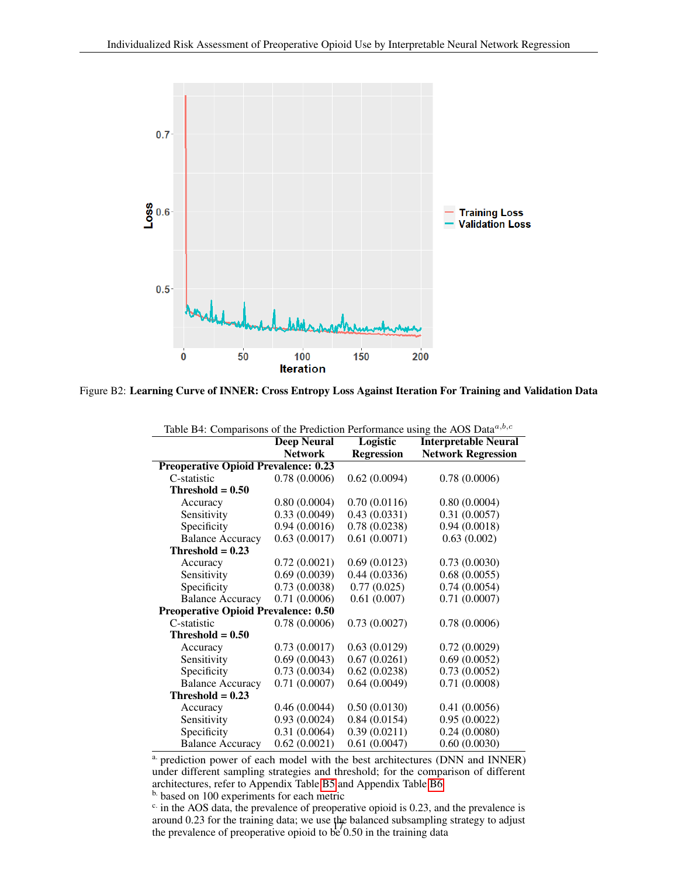<span id="page-16-0"></span>

<span id="page-16-1"></span>Figure B2: Learning Curve of INNER: Cross Entropy Loss Against Iteration For Training and Validation Data

| Table B4: Comparisons of the Prediction Performance using the AOS Data $a,b,c$ |                    |                   |                             |  |  |  |  |  |
|--------------------------------------------------------------------------------|--------------------|-------------------|-----------------------------|--|--|--|--|--|
|                                                                                | <b>Deep Neural</b> | Logistic          | <b>Interpretable Neural</b> |  |  |  |  |  |
|                                                                                | <b>Network</b>     | <b>Regression</b> | <b>Network Regression</b>   |  |  |  |  |  |
| <b>Preoperative Opioid Prevalence: 0.23</b>                                    |                    |                   |                             |  |  |  |  |  |
| C-statistic                                                                    | 0.78(0.0006)       | 0.62(0.0094)      | 0.78(0.0006)                |  |  |  |  |  |
| Threshold $= 0.50$                                                             |                    |                   |                             |  |  |  |  |  |
| Accuracy                                                                       | 0.80(0.0004)       | 0.70(0.0116)      | 0.80(0.0004)                |  |  |  |  |  |
| Sensitivity                                                                    | 0.33(0.0049)       | 0.43(0.0331)      | 0.31(0.0057)                |  |  |  |  |  |
| Specificity                                                                    | 0.94(0.0016)       | 0.78(0.0238)      | 0.94(0.0018)                |  |  |  |  |  |
| <b>Balance Accuracy</b>                                                        | 0.63(0.0017)       | 0.61(0.0071)      | 0.63(0.002)                 |  |  |  |  |  |
| Threshold = $0.23$                                                             |                    |                   |                             |  |  |  |  |  |
| Accuracy                                                                       | 0.72(0.0021)       | 0.69(0.0123)      | 0.73(0.0030)                |  |  |  |  |  |
| Sensitivity                                                                    | 0.69(0.0039)       | 0.44(0.0336)      | 0.68(0.0055)                |  |  |  |  |  |
| Specificity                                                                    | 0.73(0.0038)       | 0.77(0.025)       | 0.74(0.0054)                |  |  |  |  |  |
| <b>Balance Accuracy</b>                                                        | 0.71(0.0006)       | 0.61(0.007)       | 0.71(0.0007)                |  |  |  |  |  |
| <b>Preoperative Opioid Prevalence: 0.50</b>                                    |                    |                   |                             |  |  |  |  |  |
| C-statistic                                                                    | 0.78(0.0006)       | 0.73(0.0027)      | 0.78(0.0006)                |  |  |  |  |  |
| $Threshold = 0.50$                                                             |                    |                   |                             |  |  |  |  |  |
| Accuracy                                                                       | 0.73(0.0017)       | 0.63(0.0129)      | 0.72(0.0029)                |  |  |  |  |  |
| Sensitivity                                                                    | 0.69(0.0043)       | 0.67(0.0261)      | 0.69(0.0052)                |  |  |  |  |  |
| Specificity                                                                    | 0.73(0.0034)       | 0.62(0.0238)      | 0.73(0.0052)                |  |  |  |  |  |
| <b>Balance Accuracy</b>                                                        | 0.71(0.0007)       | 0.64(0.0049)      | 0.71(0.0008)                |  |  |  |  |  |
| Threshold $= 0.23$                                                             |                    |                   |                             |  |  |  |  |  |
| Accuracy                                                                       | 0.46(0.0044)       | 0.50(0.0130)      | 0.41(0.0056)                |  |  |  |  |  |
| Sensitivity                                                                    | 0.93(0.0024)       | 0.84(0.0154)      | 0.95(0.0022)                |  |  |  |  |  |
| Specificity                                                                    | 0.31(0.0064)       | 0.39(0.0211)      | 0.24(0.0080)                |  |  |  |  |  |
| <b>Balance Accuracy</b>                                                        | 0.62(0.0021)       | 0.61(0.0047)      | 0.60(0.0030)                |  |  |  |  |  |

a. prediction power of each model with the best architectures (DNN and INNER) under different sampling strategies and threshold; for the comparison of different architectures, refer to Appendix Table [B5](#page-17-0) and Appendix Table [B6](#page-18-0)

b. based on 100 experiments for each metric

<sup>c.</sup> in the AOS data, the prevalence of preoperative opioid is 0.23, and the prevalence is around 0.23 for the training data; we use the balanced subsampling strategy to adjust the prevalence of preoperative opioid to be 0.50 in the training data <sup>17</sup>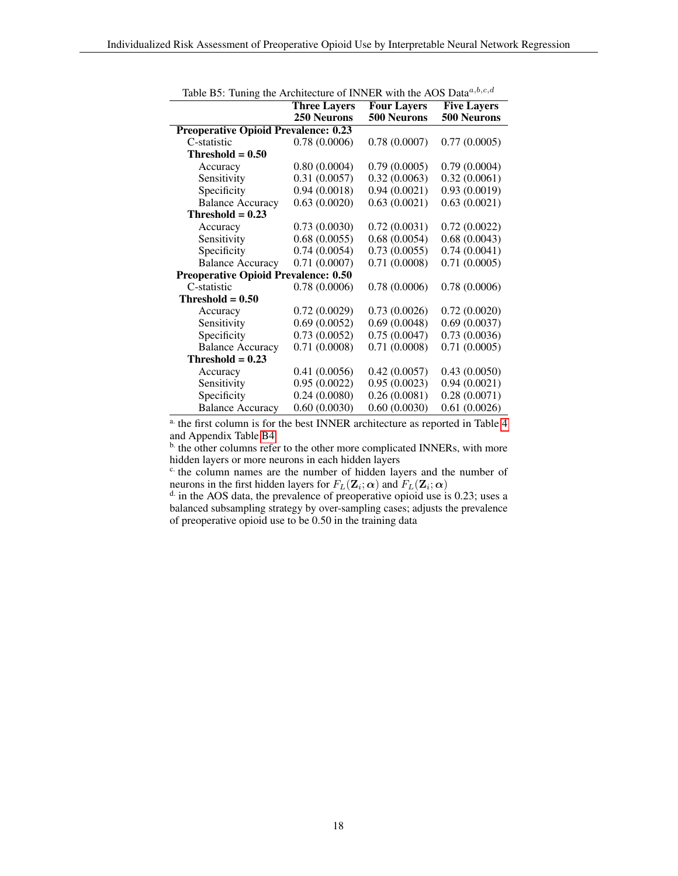<span id="page-17-0"></span>

| racio Bot Tannis ano Fitemeciale of HWHER   |                     |                    |                    |  |
|---------------------------------------------|---------------------|--------------------|--------------------|--|
|                                             | <b>Three Layers</b> | <b>Four Layers</b> | <b>Five Layers</b> |  |
|                                             | <b>250 Neurons</b>  | 500 Neurons        | 500 Neurons        |  |
| <b>Preoperative Opioid Prevalence: 0.23</b> |                     |                    |                    |  |
| C-statistic                                 | 0.78(0.0006)        | 0.78(0.0007)       | 0.77(0.0005)       |  |
| Threshold $= 0.50$                          |                     |                    |                    |  |
| Accuracy                                    | 0.80(0.0004)        | 0.79(0.0005)       | 0.79(0.0004)       |  |
| Sensitivity                                 | 0.31(0.0057)        | 0.32(0.0063)       | 0.32(0.0061)       |  |
| Specificity                                 | 0.94(0.0018)        | 0.94(0.0021)       | 0.93(0.0019)       |  |
| <b>Balance Accuracy</b>                     | 0.63(0.0020)        | 0.63(0.0021)       | 0.63(0.0021)       |  |
| Threshold $= 0.23$                          |                     |                    |                    |  |
| Accuracy                                    | 0.73(0.0030)        | 0.72(0.0031)       | 0.72(0.0022)       |  |
| Sensitivity                                 | 0.68(0.0055)        | 0.68(0.0054)       | 0.68(0.0043)       |  |
| Specificity                                 | 0.74(0.0054)        | 0.73(0.0055)       | 0.74(0.0041)       |  |
| <b>Balance Accuracy</b>                     | 0.71(0.0007)        | 0.71(0.0008)       | 0.71(0.0005)       |  |
| <b>Preoperative Opioid Prevalence: 0.50</b> |                     |                    |                    |  |
| C-statistic                                 | 0.78(0.0006)        | 0.78(0.0006)       | 0.78(0.0006)       |  |
| Threshold $= 0.50$                          |                     |                    |                    |  |
| Accuracy                                    | 0.72(0.0029)        | 0.73(0.0026)       | 0.72(0.0020)       |  |
| Sensitivity                                 | 0.69(0.0052)        | 0.69(0.0048)       | 0.69(0.0037)       |  |
| Specificity                                 | 0.73(0.0052)        | 0.75(0.0047)       | 0.73(0.0036)       |  |
| <b>Balance Accuracy</b>                     | 0.71(0.0008)        | 0.71(0.0008)       | 0.71(0.0005)       |  |
| Threshold $= 0.23$                          |                     |                    |                    |  |
| Accuracy                                    | 0.41(0.0056)        | 0.42(0.0057)       | 0.43(0.0050)       |  |
| Sensitivity                                 | 0.95(0.0022)        | 0.95(0.0023)       | 0.94(0.0021)       |  |
| Specificity                                 | 0.24(0.0080)        | 0.26(0.0081)       | 0.28(0.0071)       |  |
| <b>Balance Accuracy</b>                     | 0.60(0.0030)        | 0.60(0.0030)       | 0.61(0.0026)       |  |
|                                             |                     |                    |                    |  |

Table B5: Tuning the Architecture of INNER with the AOS Data $a,b,c,d$ 

 $\overline{a}$ . the first column is for the best INNER architecture as reported in Table [4](#page-9-0) and Appendix Table [B4](#page-16-1)

<sup>b.</sup> the other columns refer to the other more complicated INNERs, with more hidden layers or more neurons in each hidden layers

<sup>c.</sup> the column names are the number of hidden layers and the number of neurons in the first hidden layers for  $F_L(\mathbf{Z}_i; \boldsymbol{\alpha})$  and  $F_L(\mathbf{Z}_i; \boldsymbol{\alpha})$ 

 $d$  in the AOS data, the prevalence of preoperative opioid use is 0.23; uses a balanced subsampling strategy by over-sampling cases; adjusts the prevalence of preoperative opioid use to be 0.50 in the training data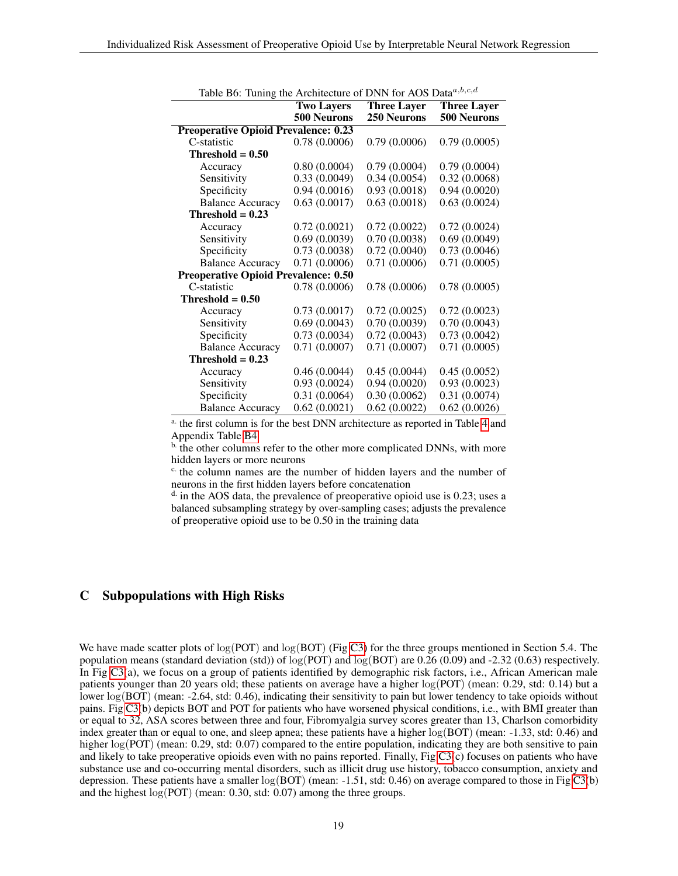<span id="page-18-0"></span>

| racio Bo. Tunnis the Aremierate of Bruttformos Balla | <b>Two Layers</b> | <b>Three Layer</b> | <b>Three Layer</b> |  |
|------------------------------------------------------|-------------------|--------------------|--------------------|--|
|                                                      | 500 Neurons       | 250 Neurons        | <b>500 Neurons</b> |  |
| <b>Preoperative Opioid Prevalence: 0.23</b>          |                   |                    |                    |  |
| C-statistic                                          | 0.78(0.0006)      | 0.79(0.0006)       | 0.79(0.0005)       |  |
| $Threshold = 0.50$                                   |                   |                    |                    |  |
| Accuracy                                             | 0.80(0.0004)      | 0.79(0.0004)       | 0.79(0.0004)       |  |
| Sensitivity                                          | 0.33(0.0049)      | 0.34(0.0054)       | 0.32(0.0068)       |  |
| Specificity                                          | 0.94(0.0016)      | 0.93(0.0018)       | 0.94(0.0020)       |  |
| <b>Balance Accuracy</b>                              | 0.63(0.0017)      | 0.63(0.0018)       | 0.63(0.0024)       |  |
| Threshold $= 0.23$                                   |                   |                    |                    |  |
| Accuracy                                             | 0.72(0.0021)      | 0.72(0.0022)       | 0.72(0.0024)       |  |
| Sensitivity                                          | 0.69(0.0039)      | 0.70(0.0038)       | 0.69(0.0049)       |  |
| Specificity                                          | 0.73(0.0038)      | 0.72(0.0040)       | 0.73(0.0046)       |  |
| <b>Balance Accuracy</b>                              | 0.71(0.0006)      | 0.71(0.0006)       | 0.71(0.0005)       |  |
| <b>Preoperative Opioid Prevalence: 0.50</b>          |                   |                    |                    |  |
| C-statistic                                          | 0.78(0.0006)      | 0.78(0.0006)       | 0.78(0.0005)       |  |
| Threshold $= 0.50$                                   |                   |                    |                    |  |
| Accuracy                                             | 0.73(0.0017)      | 0.72(0.0025)       | 0.72(0.0023)       |  |
| Sensitivity                                          | 0.69(0.0043)      | 0.70(0.0039)       | 0.70(0.0043)       |  |
| Specificity                                          | 0.73(0.0034)      | 0.72(0.0043)       | 0.73(0.0042)       |  |
| <b>Balance Accuracy</b>                              | 0.71(0.0007)      | 0.71(0.0007)       | 0.71(0.0005)       |  |
| Threshold $= 0.23$                                   |                   |                    |                    |  |
| Accuracy                                             | 0.46(0.0044)      | 0.45(0.0044)       | 0.45(0.0052)       |  |
| Sensitivity                                          | 0.93(0.0024)      | 0.94(0.0020)       | 0.93(0.0023)       |  |
| Specificity                                          | 0.31(0.0064)      | 0.30(0.0062)       | 0.31(0.0074)       |  |
| <b>Balance Accuracy</b>                              | 0.62(0.0021)      | 0.62(0.0022)       | 0.62(0.0026)       |  |

Table B6: Tuning the Architecture of DNN for AOS Data $a,b,c,d$ 

<sup>a.</sup> the first column is for the best DNN architecture as reported in Table [4](#page-9-0) and Appendix Table [B4](#page-16-1)

 $\overline{b}$ . the other columns refer to the other more complicated DNNs, with more hidden layers or more neurons

 $c$  the column names are the number of hidden layers and the number of neurons in the first hidden layers before concatenation

 $^{\text{d}}$  in the AOS data, the prevalence of preoperative opioid use is 0.23; uses a balanced subsampling strategy by over-sampling cases; adjusts the prevalence of preoperative opioid use to be 0.50 in the training data

# C Subpopulations with High Risks

We have made scatter plots of  $log(POT)$  and  $log(BOT)$  (Fig [C3\)](#page-19-11) for the three groups mentioned in Section 5.4. The population means (standard deviation (std)) of  $log($ POT) and  $log($ BOT) are 0.26 (0.09) and -2.32 (0.63) respectively. In Fig [C3\(](#page-19-11)a), we focus on a group of patients identified by demographic risk factors, i.e., African American male patients younger than 20 years old; these patients on average have a higher log(POT) (mean: 0.29, std: 0.14) but a lower log(BOT) (mean: -2.64, std: 0.46), indicating their sensitivity to pain but lower tendency to take opioids without pains. Fig [C3\(](#page-19-11)b) depicts BOT and POT for patients who have worsened physical conditions, i.e., with BMI greater than or equal to 32, ASA scores between three and four, Fibromyalgia survey scores greater than 13, Charlson comorbidity index greater than or equal to one, and sleep apnea; these patients have a higher  $log(BOT)$  (mean: -1.33, std: 0.46) and higher  $log(POT)$  (mean: 0.29, std: 0.07) compared to the entire population, indicating they are both sensitive to pain and likely to take preoperative opioids even with no pains reported. Finally, Fig [C3\(](#page-19-11)c) focuses on patients who have substance use and co-occurring mental disorders, such as illicit drug use history, tobacco consumption, anxiety and depression. These patients have a smaller  $log(BOT)$  (mean:  $-1.51$ , std: 0.46) on average compared to those in Fig [C3\(](#page-19-11)b) and the highest log(POT) (mean: 0.30, std: 0.07) among the three groups.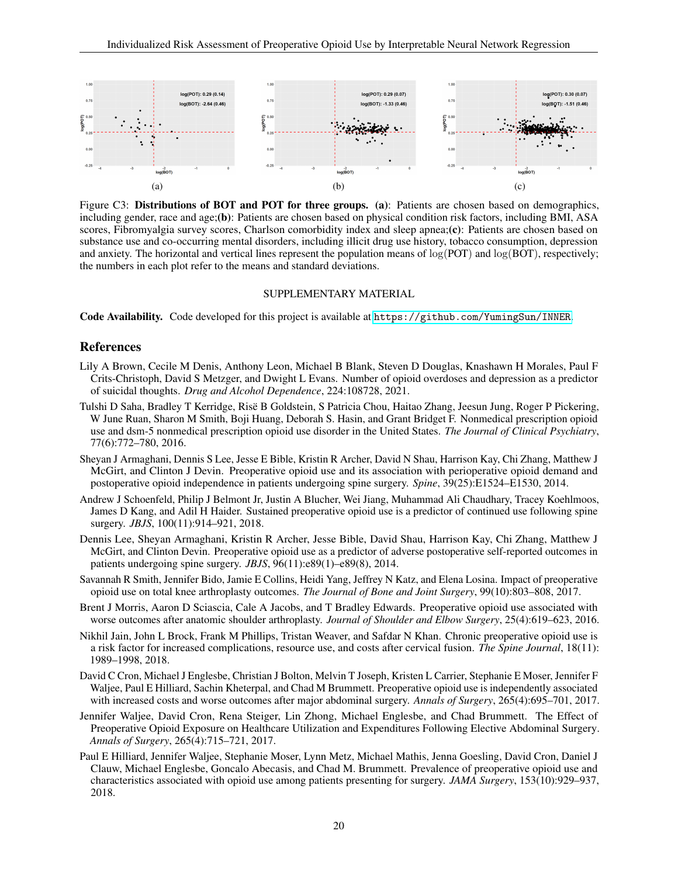<span id="page-19-11"></span>

Figure C3: Distributions of BOT and POT for three groups. (a): Patients are chosen based on demographics, including gender, race and age;(b): Patients are chosen based on physical condition risk factors, including BMI, ASA scores, Fibromyalgia survey scores, Charlson comorbidity index and sleep apnea;(c): Patients are chosen based on substance use and co-occurring mental disorders, including illicit drug use history, tobacco consumption, depression and anxiety. The horizontal and vertical lines represent the population means of  $log(POT)$  and  $log(BOT)$ , respectively; the numbers in each plot refer to the means and standard deviations.

#### SUPPLEMENTARY MATERIAL

Code Availability. Code developed for this project is available at <https://github.com/YumingSun/INNER>.

#### References

- <span id="page-19-0"></span>Lily A Brown, Cecile M Denis, Anthony Leon, Michael B Blank, Steven D Douglas, Knashawn H Morales, Paul F Crits-Christoph, David S Metzger, and Dwight L Evans. Number of opioid overdoses and depression as a predictor of suicidal thoughts. *Drug and Alcohol Dependence*, 224:108728, 2021.
- <span id="page-19-1"></span>Tulshi D Saha, Bradley T Kerridge, Risë B Goldstein, S Patricia Chou, Haitao Zhang, Jeesun Jung, Roger P Pickering, W June Ruan, Sharon M Smith, Boji Huang, Deborah S. Hasin, and Grant Bridget F. Nonmedical prescription opioid use and dsm-5 nonmedical prescription opioid use disorder in the United States. *The Journal of Clinical Psychiatry*, 77(6):772–780, 2016.
- <span id="page-19-2"></span>Sheyan J Armaghani, Dennis S Lee, Jesse E Bible, Kristin R Archer, David N Shau, Harrison Kay, Chi Zhang, Matthew J McGirt, and Clinton J Devin. Preoperative opioid use and its association with perioperative opioid demand and postoperative opioid independence in patients undergoing spine surgery. *Spine*, 39(25):E1524–E1530, 2014.
- <span id="page-19-3"></span>Andrew J Schoenfeld, Philip J Belmont Jr, Justin A Blucher, Wei Jiang, Muhammad Ali Chaudhary, Tracey Koehlmoos, James D Kang, and Adil H Haider. Sustained preoperative opioid use is a predictor of continued use following spine surgery. *JBJS*, 100(11):914–921, 2018.
- <span id="page-19-4"></span>Dennis Lee, Sheyan Armaghani, Kristin R Archer, Jesse Bible, David Shau, Harrison Kay, Chi Zhang, Matthew J McGirt, and Clinton Devin. Preoperative opioid use as a predictor of adverse postoperative self-reported outcomes in patients undergoing spine surgery. *JBJS*, 96(11):e89(1)-e89(8), 2014.
- <span id="page-19-5"></span>Savannah R Smith, Jennifer Bido, Jamie E Collins, Heidi Yang, Jeffrey N Katz, and Elena Losina. Impact of preoperative opioid use on total knee arthroplasty outcomes. *The Journal of Bone and Joint Surgery*, 99(10):803–808, 2017.
- <span id="page-19-6"></span>Brent J Morris, Aaron D Sciascia, Cale A Jacobs, and T Bradley Edwards. Preoperative opioid use associated with worse outcomes after anatomic shoulder arthroplasty. *Journal of Shoulder and Elbow Surgery*, 25(4):619–623, 2016.
- <span id="page-19-7"></span>Nikhil Jain, John L Brock, Frank M Phillips, Tristan Weaver, and Safdar N Khan. Chronic preoperative opioid use is a risk factor for increased complications, resource use, and costs after cervical fusion. *The Spine Journal*, 18(11): 1989–1998, 2018.
- <span id="page-19-8"></span>David C Cron, Michael J Englesbe, Christian J Bolton, Melvin T Joseph, Kristen L Carrier, Stephanie E Moser, Jennifer F Waljee, Paul E Hilliard, Sachin Kheterpal, and Chad M Brummett. Preoperative opioid use is independently associated with increased costs and worse outcomes after major abdominal surgery. *Annals of Surgery*, 265(4):695–701, 2017.
- <span id="page-19-9"></span>Jennifer Waljee, David Cron, Rena Steiger, Lin Zhong, Michael Englesbe, and Chad Brummett. The Effect of Preoperative Opioid Exposure on Healthcare Utilization and Expenditures Following Elective Abdominal Surgery. *Annals of Surgery*, 265(4):715–721, 2017.
- <span id="page-19-10"></span>Paul E Hilliard, Jennifer Waljee, Stephanie Moser, Lynn Metz, Michael Mathis, Jenna Goesling, David Cron, Daniel J Clauw, Michael Englesbe, Goncalo Abecasis, and Chad M. Brummett. Prevalence of preoperative opioid use and characteristics associated with opioid use among patients presenting for surgery. *JAMA Surgery*, 153(10):929–937, 2018.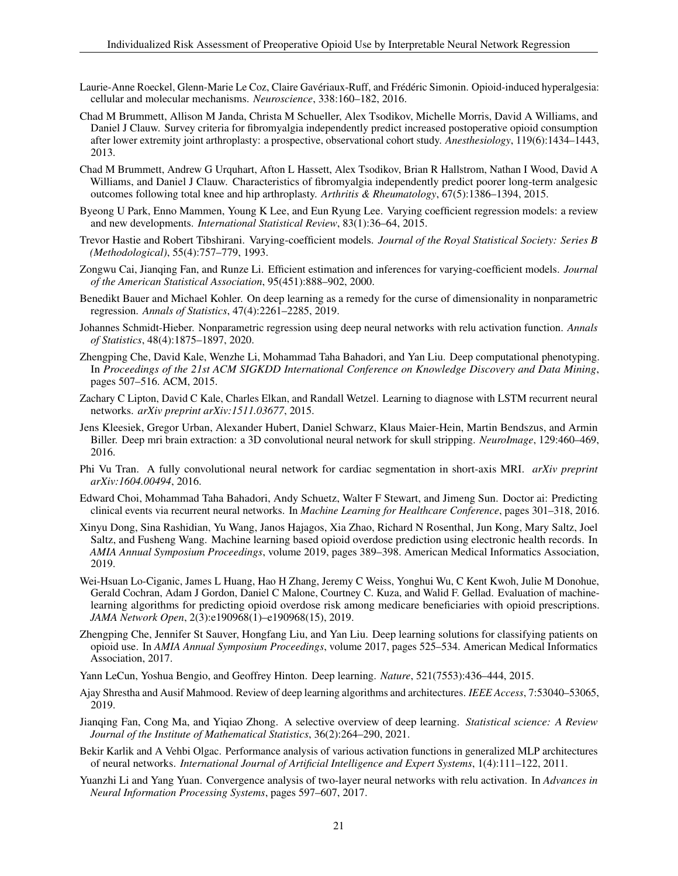- <span id="page-20-0"></span>Laurie-Anne Roeckel, Glenn-Marie Le Coz, Claire Gavériaux-Ruff, and Frédéric Simonin. Opioid-induced hyperalgesia: cellular and molecular mechanisms. *Neuroscience*, 338:160–182, 2016.
- <span id="page-20-1"></span>Chad M Brummett, Allison M Janda, Christa M Schueller, Alex Tsodikov, Michelle Morris, David A Williams, and Daniel J Clauw. Survey criteria for fibromyalgia independently predict increased postoperative opioid consumption after lower extremity joint arthroplasty: a prospective, observational cohort study. *Anesthesiology*, 119(6):1434–1443, 2013.
- <span id="page-20-2"></span>Chad M Brummett, Andrew G Urquhart, Afton L Hassett, Alex Tsodikov, Brian R Hallstrom, Nathan I Wood, David A Williams, and Daniel J Clauw. Characteristics of fibromyalgia independently predict poorer long-term analgesic outcomes following total knee and hip arthroplasty. *Arthritis & Rheumatology*, 67(5):1386–1394, 2015.
- <span id="page-20-3"></span>Byeong U Park, Enno Mammen, Young K Lee, and Eun Ryung Lee. Varying coefficient regression models: a review and new developments. *International Statistical Review*, 83(1):36–64, 2015.
- <span id="page-20-4"></span>Trevor Hastie and Robert Tibshirani. Varying-coefficient models. *Journal of the Royal Statistical Society: Series B (Methodological)*, 55(4):757–779, 1993.
- <span id="page-20-5"></span>Zongwu Cai, Jianqing Fan, and Runze Li. Efficient estimation and inferences for varying-coefficient models. *Journal of the American Statistical Association*, 95(451):888–902, 2000.
- <span id="page-20-6"></span>Benedikt Bauer and Michael Kohler. On deep learning as a remedy for the curse of dimensionality in nonparametric regression. *Annals of Statistics*, 47(4):2261–2285, 2019.
- <span id="page-20-7"></span>Johannes Schmidt-Hieber. Nonparametric regression using deep neural networks with relu activation function. *Annals of Statistics*, 48(4):1875–1897, 2020.
- <span id="page-20-8"></span>Zhengping Che, David Kale, Wenzhe Li, Mohammad Taha Bahadori, and Yan Liu. Deep computational phenotyping. In *Proceedings of the 21st ACM SIGKDD International Conference on Knowledge Discovery and Data Mining*, pages 507–516. ACM, 2015.
- <span id="page-20-9"></span>Zachary C Lipton, David C Kale, Charles Elkan, and Randall Wetzel. Learning to diagnose with LSTM recurrent neural networks. *arXiv preprint arXiv:1511.03677*, 2015.
- <span id="page-20-10"></span>Jens Kleesiek, Gregor Urban, Alexander Hubert, Daniel Schwarz, Klaus Maier-Hein, Martin Bendszus, and Armin Biller. Deep mri brain extraction: a 3D convolutional neural network for skull stripping. *NeuroImage*, 129:460–469, 2016.
- <span id="page-20-11"></span>Phi Vu Tran. A fully convolutional neural network for cardiac segmentation in short-axis MRI. *arXiv preprint arXiv:1604.00494*, 2016.
- <span id="page-20-12"></span>Edward Choi, Mohammad Taha Bahadori, Andy Schuetz, Walter F Stewart, and Jimeng Sun. Doctor ai: Predicting clinical events via recurrent neural networks. In *Machine Learning for Healthcare Conference*, pages 301–318, 2016.
- <span id="page-20-13"></span>Xinyu Dong, Sina Rashidian, Yu Wang, Janos Hajagos, Xia Zhao, Richard N Rosenthal, Jun Kong, Mary Saltz, Joel Saltz, and Fusheng Wang. Machine learning based opioid overdose prediction using electronic health records. In *AMIA Annual Symposium Proceedings*, volume 2019, pages 389–398. American Medical Informatics Association, 2019.
- <span id="page-20-14"></span>Wei-Hsuan Lo-Ciganic, James L Huang, Hao H Zhang, Jeremy C Weiss, Yonghui Wu, C Kent Kwoh, Julie M Donohue, Gerald Cochran, Adam J Gordon, Daniel C Malone, Courtney C. Kuza, and Walid F. Gellad. Evaluation of machinelearning algorithms for predicting opioid overdose risk among medicare beneficiaries with opioid prescriptions. *JAMA Network Open*, 2(3):e190968(1)–e190968(15), 2019.
- <span id="page-20-15"></span>Zhengping Che, Jennifer St Sauver, Hongfang Liu, and Yan Liu. Deep learning solutions for classifying patients on opioid use. In *AMIA Annual Symposium Proceedings*, volume 2017, pages 525–534. American Medical Informatics Association, 2017.
- <span id="page-20-16"></span>Yann LeCun, Yoshua Bengio, and Geoffrey Hinton. Deep learning. *Nature*, 521(7553):436–444, 2015.
- <span id="page-20-17"></span>Ajay Shrestha and Ausif Mahmood. Review of deep learning algorithms and architectures. *IEEE Access*, 7:53040–53065, 2019.
- <span id="page-20-18"></span>Jianqing Fan, Cong Ma, and Yiqiao Zhong. A selective overview of deep learning. *Statistical science: A Review Journal of the Institute of Mathematical Statistics*, 36(2):264–290, 2021.
- <span id="page-20-19"></span>Bekir Karlik and A Vehbi Olgac. Performance analysis of various activation functions in generalized MLP architectures of neural networks. *International Journal of Artificial Intelligence and Expert Systems*, 1(4):111–122, 2011.
- <span id="page-20-20"></span>Yuanzhi Li and Yang Yuan. Convergence analysis of two-layer neural networks with relu activation. In *Advances in Neural Information Processing Systems*, pages 597–607, 2017.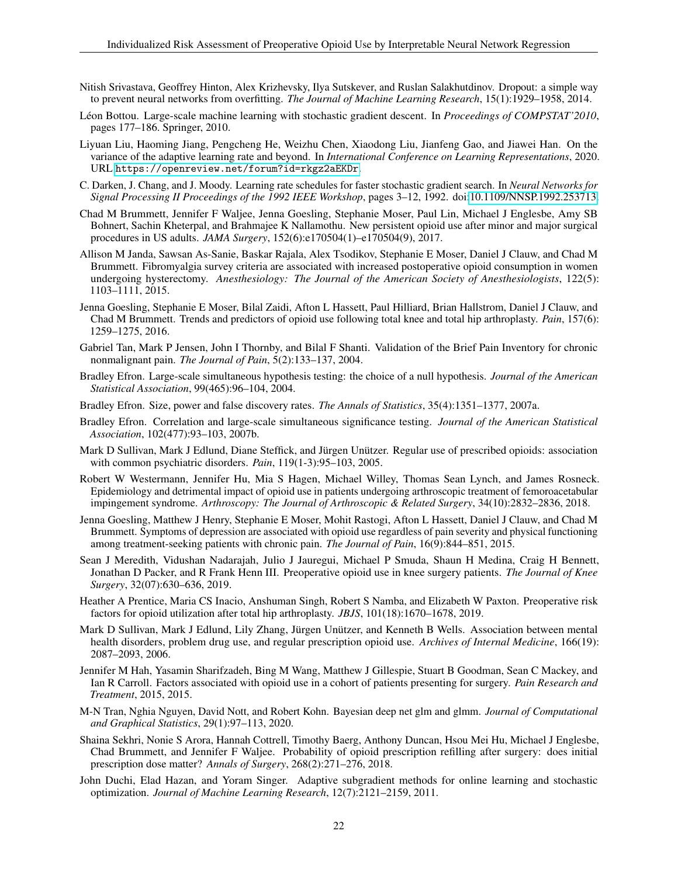- <span id="page-21-0"></span>Nitish Srivastava, Geoffrey Hinton, Alex Krizhevsky, Ilya Sutskever, and Ruslan Salakhutdinov. Dropout: a simple way to prevent neural networks from overfitting. *The Journal of Machine Learning Research*, 15(1):1929–1958, 2014.
- <span id="page-21-1"></span>Léon Bottou. Large-scale machine learning with stochastic gradient descent. In *Proceedings of COMPSTAT'2010*, pages 177–186. Springer, 2010.
- <span id="page-21-2"></span>Liyuan Liu, Haoming Jiang, Pengcheng He, Weizhu Chen, Xiaodong Liu, Jianfeng Gao, and Jiawei Han. On the variance of the adaptive learning rate and beyond. In *International Conference on Learning Representations*, 2020. URL <https://openreview.net/forum?id=rkgz2aEKDr>.
- <span id="page-21-3"></span>C. Darken, J. Chang, and J. Moody. Learning rate schedules for faster stochastic gradient search. In *Neural Networks for Signal Processing II Proceedings of the 1992 IEEE Workshop*, pages 3–12, 1992. doi[:10.1109/NNSP.1992.253713.](https://doi.org/10.1109/NNSP.1992.253713)
- <span id="page-21-4"></span>Chad M Brummett, Jennifer F Waljee, Jenna Goesling, Stephanie Moser, Paul Lin, Michael J Englesbe, Amy SB Bohnert, Sachin Kheterpal, and Brahmajee K Nallamothu. New persistent opioid use after minor and major surgical procedures in US adults. *JAMA Surgery*, 152(6):e170504(1)–e170504(9), 2017.
- <span id="page-21-5"></span>Allison M Janda, Sawsan As-Sanie, Baskar Rajala, Alex Tsodikov, Stephanie E Moser, Daniel J Clauw, and Chad M Brummett. Fibromyalgia survey criteria are associated with increased postoperative opioid consumption in women undergoing hysterectomy. *Anesthesiology: The Journal of the American Society of Anesthesiologists*, 122(5): 1103–1111, 2015.
- <span id="page-21-6"></span>Jenna Goesling, Stephanie E Moser, Bilal Zaidi, Afton L Hassett, Paul Hilliard, Brian Hallstrom, Daniel J Clauw, and Chad M Brummett. Trends and predictors of opioid use following total knee and total hip arthroplasty. *Pain*, 157(6): 1259–1275, 2016.
- <span id="page-21-7"></span>Gabriel Tan, Mark P Jensen, John I Thornby, and Bilal F Shanti. Validation of the Brief Pain Inventory for chronic nonmalignant pain. *The Journal of Pain*, 5(2):133–137, 2004.
- <span id="page-21-8"></span>Bradley Efron. Large-scale simultaneous hypothesis testing: the choice of a null hypothesis. *Journal of the American Statistical Association*, 99(465):96–104, 2004.
- <span id="page-21-9"></span>Bradley Efron. Size, power and false discovery rates. *The Annals of Statistics*, 35(4):1351–1377, 2007a.
- <span id="page-21-10"></span>Bradley Efron. Correlation and large-scale simultaneous significance testing. *Journal of the American Statistical Association*, 102(477):93–103, 2007b.
- <span id="page-21-11"></span>Mark D Sullivan, Mark J Edlund, Diane Steffick, and Jürgen Unützer. Regular use of prescribed opioids: association with common psychiatric disorders. *Pain*, 119(1-3):95–103, 2005.
- <span id="page-21-12"></span>Robert W Westermann, Jennifer Hu, Mia S Hagen, Michael Willey, Thomas Sean Lynch, and James Rosneck. Epidemiology and detrimental impact of opioid use in patients undergoing arthroscopic treatment of femoroacetabular impingement syndrome. *Arthroscopy: The Journal of Arthroscopic & Related Surgery*, 34(10):2832–2836, 2018.
- <span id="page-21-13"></span>Jenna Goesling, Matthew J Henry, Stephanie E Moser, Mohit Rastogi, Afton L Hassett, Daniel J Clauw, and Chad M Brummett. Symptoms of depression are associated with opioid use regardless of pain severity and physical functioning among treatment-seeking patients with chronic pain. *The Journal of Pain*, 16(9):844–851, 2015.
- <span id="page-21-14"></span>Sean J Meredith, Vidushan Nadarajah, Julio J Jauregui, Michael P Smuda, Shaun H Medina, Craig H Bennett, Jonathan D Packer, and R Frank Henn III. Preoperative opioid use in knee surgery patients. *The Journal of Knee Surgery*, 32(07):630–636, 2019.
- <span id="page-21-15"></span>Heather A Prentice, Maria CS Inacio, Anshuman Singh, Robert S Namba, and Elizabeth W Paxton. Preoperative risk factors for opioid utilization after total hip arthroplasty. *JBJS*, 101(18):1670–1678, 2019.
- <span id="page-21-16"></span>Mark D Sullivan, Mark J Edlund, Lily Zhang, Jürgen Unützer, and Kenneth B Wells. Association between mental health disorders, problem drug use, and regular prescription opioid use. *Archives of Internal Medicine*, 166(19): 2087–2093, 2006.
- <span id="page-21-17"></span>Jennifer M Hah, Yasamin Sharifzadeh, Bing M Wang, Matthew J Gillespie, Stuart B Goodman, Sean C Mackey, and Ian R Carroll. Factors associated with opioid use in a cohort of patients presenting for surgery. *Pain Research and Treatment*, 2015, 2015.
- <span id="page-21-18"></span>M-N Tran, Nghia Nguyen, David Nott, and Robert Kohn. Bayesian deep net glm and glmm. *Journal of Computational and Graphical Statistics*, 29(1):97–113, 2020.
- <span id="page-21-19"></span>Shaina Sekhri, Nonie S Arora, Hannah Cottrell, Timothy Baerg, Anthony Duncan, Hsou Mei Hu, Michael J Englesbe, Chad Brummett, and Jennifer F Waljee. Probability of opioid prescription refilling after surgery: does initial prescription dose matter? *Annals of Surgery*, 268(2):271–276, 2018.
- <span id="page-21-20"></span>John Duchi, Elad Hazan, and Yoram Singer. Adaptive subgradient methods for online learning and stochastic optimization. *Journal of Machine Learning Research*, 12(7):2121–2159, 2011.